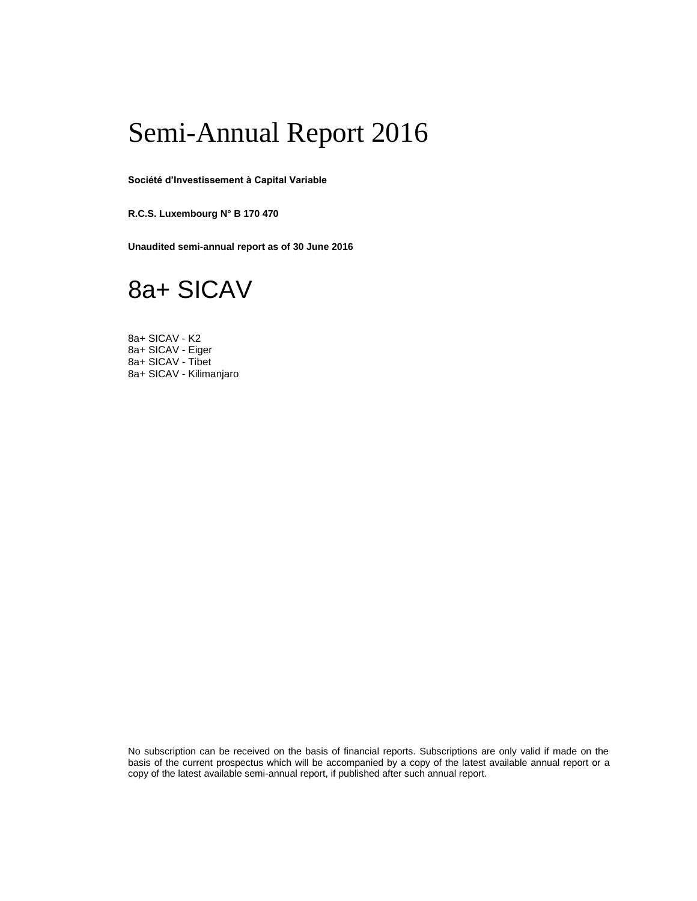## Semi-Annual Report 2016

**Société d'Investissement à Capital Variable**

**R.C.S. Luxembourg N° B 170 470** 

**Unaudited semi-annual report as of 30 June 2016** 

## 8a+ SICAV

8a+ SICAV - K2 8a+ SICAV - Eiger 8a+ SICAV - Tibet 8a+ SICAV - Kilimanjaro

No subscription can be received on the basis of financial reports. Subscriptions are only valid if made on the basis of the current prospectus which will be accompanied by a copy of the latest available annual report or a copy of the latest available semi-annual report, if published after such annual report.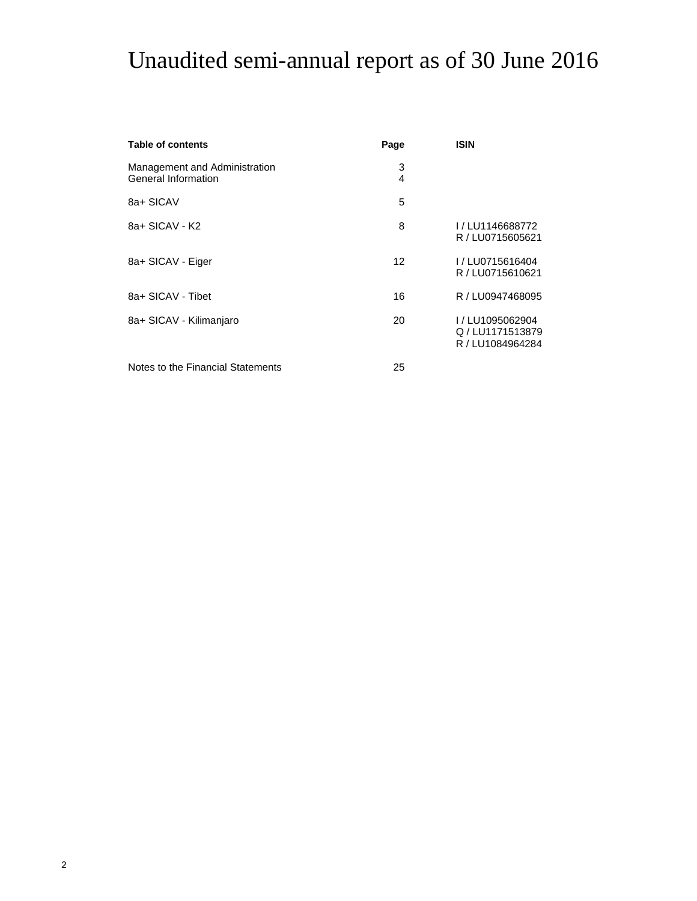# Unaudited semi-annual report as of 30 June 2016

| <b>Table of contents</b>                             | Page   | <b>ISIN</b>                                          |
|------------------------------------------------------|--------|------------------------------------------------------|
| Management and Administration<br>General Information | 3<br>4 |                                                      |
| 8a+ SICAV                                            | 5      |                                                      |
| 8a+ SICAV - K2                                       | 8      | I/LU1146688772<br>R / LU0715605621                   |
| 8a+ SICAV - Eiger                                    | 12     | I/LU0715616404<br>R / LU0715610621                   |
| 8a+ SICAV - Tibet                                    | 16     | R / LU0947468095                                     |
| 8a+ SICAV - Kilimanjaro                              | 20     | I/LU1095062904<br>Q/LU1171513879<br>R / LU1084964284 |
| Notes to the Financial Statements                    | 25     |                                                      |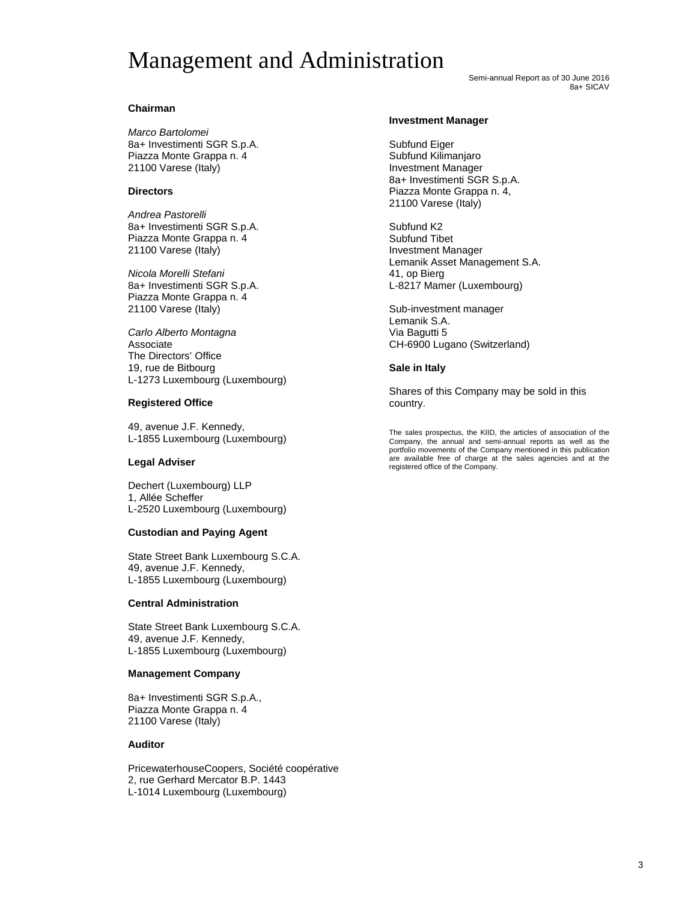## Management and Administration

Semi-annual Report as of 30 June 2016 8a+ SICAV

## **Chairman**

*Marco Bartolomei* 8a+ Investimenti SGR S.p.A. Piazza Monte Grappa n. 4 21100 Varese (Italy)

## **Directors**

*Andrea Pastorelli* 8a+ Investimenti SGR S.p.A. Piazza Monte Grappa n. 4 21100 Varese (Italy)

*Nicola Morelli Stefani* 8a+ Investimenti SGR S.p.A. Piazza Monte Grappa n. 4 21100 Varese (Italy)

*Carlo Alberto Montagna* Associate The Directors' Office 19, rue de Bitbourg L-1273 Luxembourg (Luxembourg)

## **Registered Office**

49, avenue J.F. Kennedy, L-1855 Luxembourg (Luxembourg)

## **Legal Adviser**

Dechert (Luxembourg) LLP 1, Allée Scheffer L-2520 Luxembourg (Luxembourg)

## **Custodian and Paying Agent**

State Street Bank Luxembourg S.C.A. 49, avenue J.F. Kennedy, L-1855 Luxembourg (Luxembourg)

## **Central Administration**

State Street Bank Luxembourg S.C.A. 49, avenue J.F. Kennedy, L-1855 Luxembourg (Luxembourg)

## **Management Company**

8a+ Investimenti SGR S.p.A., Piazza Monte Grappa n. 4 21100 Varese (Italy)

## **Auditor**

PricewaterhouseCoopers, Société coopérative 2, rue Gerhard Mercator B.P. 1443 L-1014 Luxembourg (Luxembourg)

#### **Investment Manager**

Subfund Eiger Subfund Kilimanjaro Investment Manager 8a+ Investimenti SGR S.p.A. Piazza Monte Grappa n. 4, 21100 Varese (Italy)

Subfund K2 Subfund Tibet Investment Manager Lemanik Asset Management S.A. 41, op Bierg L-8217 Mamer (Luxembourg)

Sub-investment manager Lemanik S.A. Via Bagutti 5 CH-6900 Lugano (Switzerland)

## **Sale in Italy**

Shares of this Company may be sold in this country.

The sales prospectus, the KIID, the articles of association of the Company, the annual and semi-annual reports as well as the portfolio movements of the Company mentioned in this publication are available free of charge at the sales agencies and at the registered office of the Company.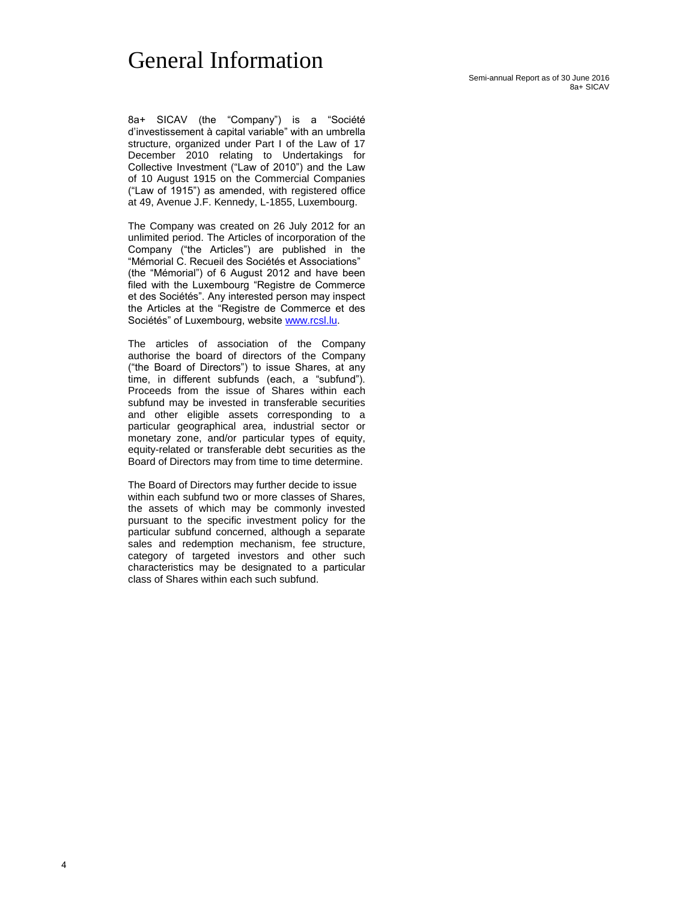## General Information

Semi-annual Report as of 30 June 2016 8a+ SICAV

8a+ SICAV (the "Company") is a "Société d'investissement à capital variable" with an umbrella structure, organized under Part I of the Law of 17 December 2010 relating to Undertakings for Collective Investment ("Law of 2010") and the Law of 10 August 1915 on the Commercial Companies ("Law of 1915") as amended, with registered office at 49, Avenue J.F. Kennedy, L-1855, Luxembourg.

The Company was created on 26 July 2012 for an unlimited period. The Articles of incorporation of the Company ("the Articles") are published in the "Mémorial C. Recueil des Sociétés et Associations" (the "Mémorial") of 6 August 2012 and have been filed with the Luxembourg "Registre de Commerce et des Sociétés". Any interested person may inspect the Articles at the "Registre de Commerce et des Sociétés" of Luxembourg, websit[e www.rcsl.lu.](http://www.rcsl.lu/)

The articles of association of the Company authorise the board of directors of the Company ("the Board of Directors") to issue Shares, at any time, in different subfunds (each, a "subfund"). Proceeds from the issue of Shares within each subfund may be invested in transferable securities and other eligible assets corresponding to a particular geographical area, industrial sector or monetary zone, and/or particular types of equity, equity-related or transferable debt securities as the Board of Directors may from time to time determine.

The Board of Directors may further decide to issue within each subfund two or more classes of Shares, the assets of which may be commonly invested pursuant to the specific investment policy for the particular subfund concerned, although a separate sales and redemption mechanism, fee structure, category of targeted investors and other such characteristics may be designated to a particular class of Shares within each such subfund.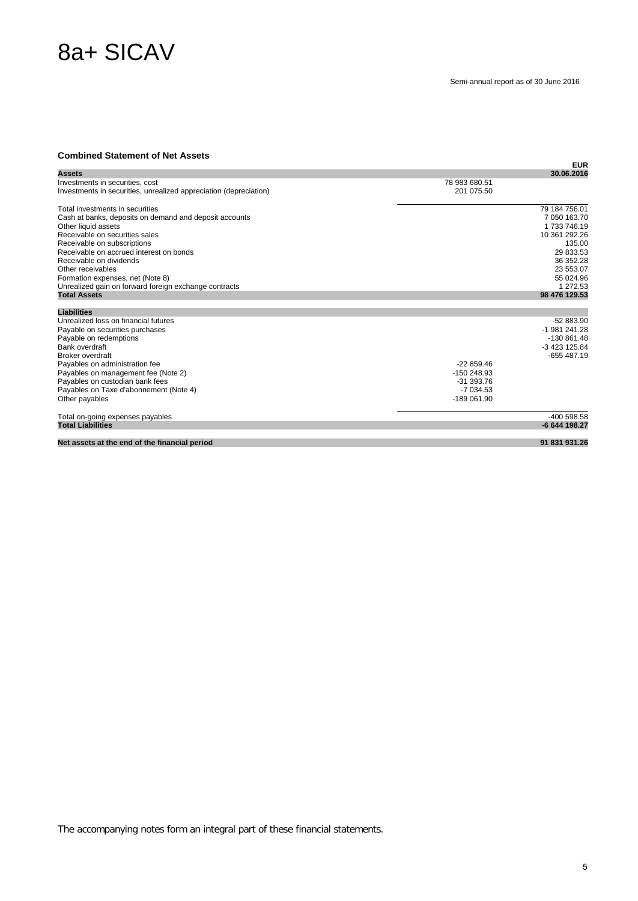## 8a+ SICAV

#### **Combined Statement of Net Assets**

|                                                                   | <b>EUR</b>    |  |
|-------------------------------------------------------------------|---------------|--|
| <b>Assets</b>                                                     | 30.06.2016    |  |
| Investments in securities, cost                                   | 78 983 680.51 |  |
| Investments in securities, unrealized appreciation (depreciation) | 201 075.50    |  |
| Total investments in securities                                   | 79 184 756.01 |  |
| Cash at banks, deposits on demand and deposit accounts            | 7 050 163.70  |  |
| Other liquid assets                                               | 1 733 746.19  |  |
| Receivable on securities sales                                    | 10 361 292.26 |  |
| Receivable on subscriptions                                       | 135.00        |  |
| Receivable on accrued interest on bonds                           | 29 833.53     |  |
| Receivable on dividends                                           | 36 352.28     |  |
| Other receivables                                                 | 23 553.07     |  |
| Formation expenses, net (Note 8)                                  | 55 024.96     |  |
| Unrealized gain on forward foreign exchange contracts             | 1 272.53      |  |
| <b>Total Assets</b>                                               | 98 476 129.53 |  |
| <b>Liabilities</b>                                                |               |  |
| Unrealized loss on financial futures                              | $-52883.90$   |  |
| Payable on securities purchases                                   | -1 981 241.28 |  |
| Payable on redemptions                                            | -130 861.48   |  |
| Bank overdraft                                                    | -3 423 125.84 |  |
| Broker overdraft                                                  | $-655487.19$  |  |
| Payables on administration fee                                    | $-22859.46$   |  |
| Payables on management fee (Note 2)                               | -150 248.93   |  |
| Payables on custodian bank fees                                   | $-31.393.76$  |  |
| Payables on Taxe d'abonnement (Note 4)                            | $-7034.53$    |  |
| Other payables                                                    | -189 061.90   |  |
| Total on-going expenses payables                                  | $-400598.58$  |  |
| <b>Total Liabilities</b>                                          | -6 644 198.27 |  |
|                                                                   | 91 831 931.26 |  |
| Net assets at the end of the financial period                     |               |  |
|                                                                   |               |  |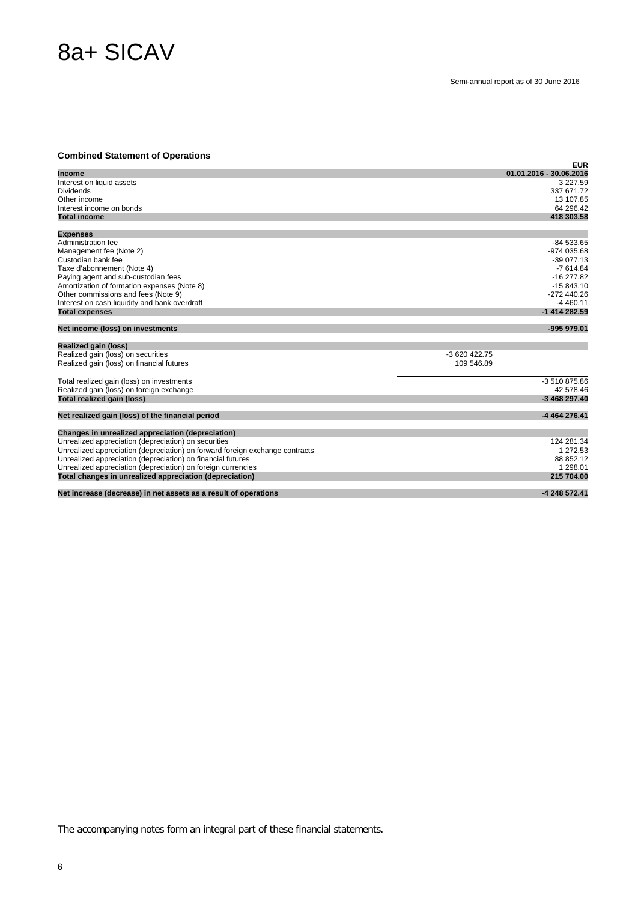# 8a+ SICAV

## **Combined Statement of Operations**

| Complited Statement of Operations                                            | <b>EUR</b>              |
|------------------------------------------------------------------------------|-------------------------|
| <b>Income</b>                                                                | 01.01.2016 - 30.06.2016 |
| Interest on liquid assets                                                    | 3 2 2 7 .59             |
| <b>Dividends</b>                                                             | 337 671.72              |
| Other income                                                                 | 13 107.85               |
| Interest income on bonds                                                     | 64 296.42               |
| <b>Total income</b>                                                          | 418 303.58              |
| <b>Expenses</b>                                                              |                         |
| Administration fee                                                           | $-84533.65$             |
| Management fee (Note 2)                                                      | -974 035.68             |
| Custodian bank fee                                                           | $-39077.13$             |
| Taxe d'abonnement (Note 4)                                                   | $-7614.84$              |
| Paying agent and sub-custodian fees                                          | $-16277.82$             |
| Amortization of formation expenses (Note 8)                                  | $-15843.10$             |
| Other commissions and fees (Note 9)                                          | $-272440.26$            |
| Interest on cash liquidity and bank overdraft                                | $-4460.11$              |
| <b>Total expenses</b>                                                        | -1 414 282.59           |
| Net income (loss) on investments                                             | -995 979.01             |
| Realized gain (loss)                                                         |                         |
| Realized gain (loss) on securities                                           | $-3620422.75$           |
| Realized gain (loss) on financial futures                                    | 109 546.89              |
| Total realized gain (loss) on investments                                    | -3 510 875.86           |
| Realized gain (loss) on foreign exchange                                     | 42 578.46               |
| Total realized gain (loss)                                                   | -3 468 297.40           |
| Net realized gain (loss) of the financial period                             | -4 464 276.41           |
| Changes in unrealized appreciation (depreciation)                            |                         |
| Unrealized appreciation (depreciation) on securities                         | 124 281.34              |
| Unrealized appreciation (depreciation) on forward foreign exchange contracts | 1 272.53                |
| Unrealized appreciation (depreciation) on financial futures                  | 88 852.12               |
| Unrealized appreciation (depreciation) on foreign currencies                 | 1 298.01                |
| Total changes in unrealized appreciation (depreciation)                      | 215 704.00              |
|                                                                              |                         |

**Net increase (decrease) in net assets as a result of operations -4 248 572.41**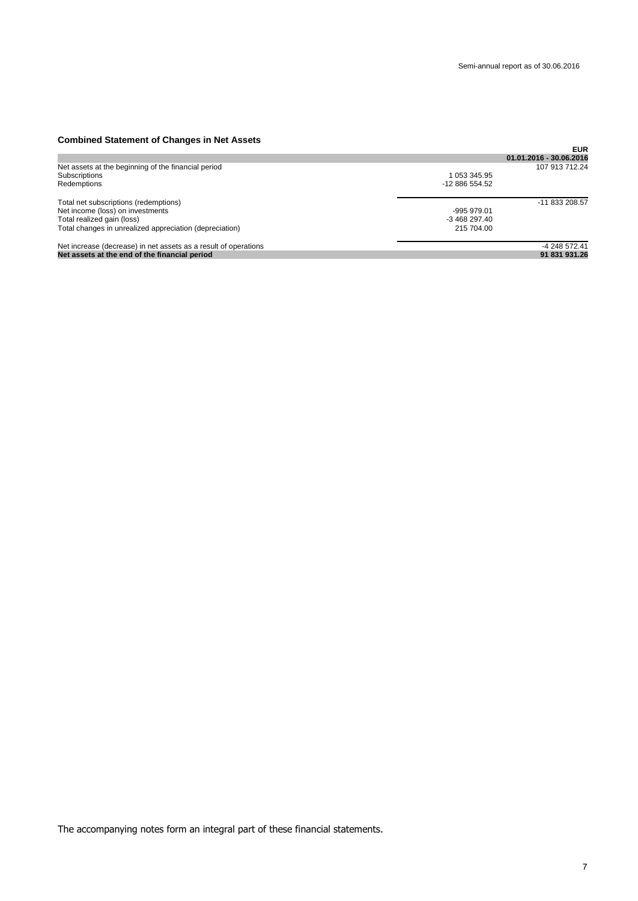## **Combined Statement of Changes in Net Assets**

| <b>OUTINING ORACHIGHT OF OHANGO III NGLASSGRS</b>               |               |                         |
|-----------------------------------------------------------------|---------------|-------------------------|
|                                                                 |               | <b>EUR</b>              |
|                                                                 |               | 01.01.2016 - 30.06.2016 |
| Net assets at the beginning of the financial period             |               | 107 913 712.24          |
| Subscriptions                                                   | 1 053 345.95  |                         |
| Redemptions                                                     | $-1288655452$ |                         |
| Total net subscriptions (redemptions)                           |               | -11 833 208.57          |
| Net income (loss) on investments                                | -995 979.01   |                         |
| Total realized gain (loss)                                      | $-346829740$  |                         |
| Total changes in unrealized appreciation (depreciation)         | 215 704.00    |                         |
| Net increase (decrease) in net assets as a result of operations |               | -4 248 572.41           |
| Net assets at the end of the financial period                   |               | 91 831 931.26           |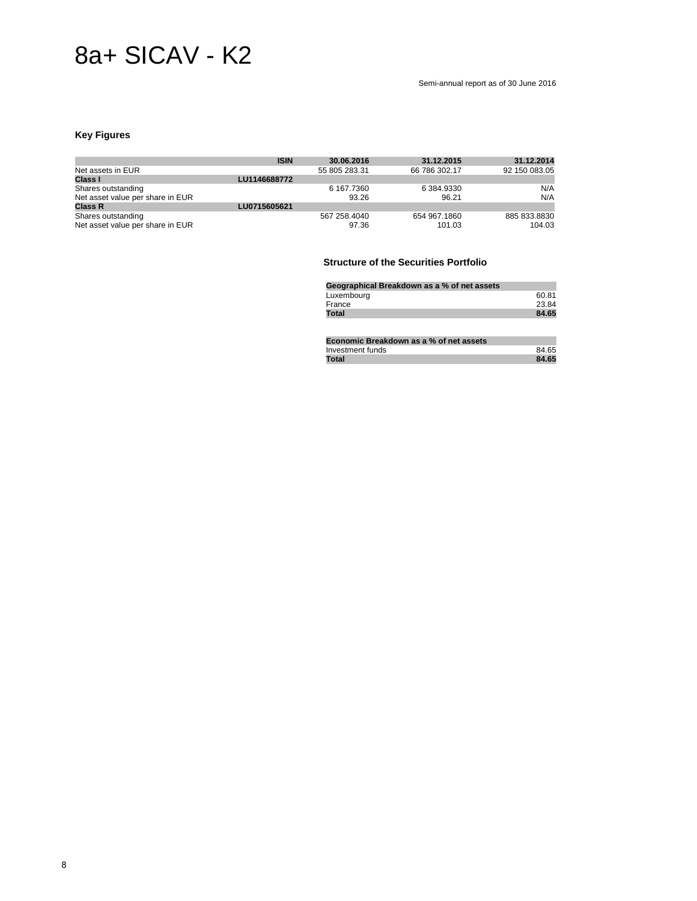## 8a+ SICAV - K2

#### Semi-annual report as of 30 June 2016

## **Key Figures**

|                                  | <b>ISIN</b>  | 30.06.2016    | 31.12.2015    | 31.12.2014    |
|----------------------------------|--------------|---------------|---------------|---------------|
| Net assets in EUR                |              | 55 805 283.31 | 66 786 302.17 | 92 150 083.05 |
| Class I                          | LU1146688772 |               |               |               |
| Shares outstanding               |              | 6 167.7360    | 6 384.9330    | N/A           |
| Net asset value per share in EUR |              | 93.26         | 96.21         | N/A           |
| <b>Class R</b>                   | LU0715605621 |               |               |               |
| Shares outstanding               |              | 567 258.4040  | 654 967.1860  | 885 833.8830  |
| Net asset value per share in EUR |              | 97.36         | 101.03        | 104.03        |

## **Structure of the Securities Portfolio**

| Geographical Breakdown as a % of net assets |       |
|---------------------------------------------|-------|
| Luxembourg                                  | 60.81 |
| France                                      | 23.84 |
| Total                                       | 84.65 |

| Economic Breakdown as a % of net assets |       |
|-----------------------------------------|-------|
| Investment funds                        | 84.65 |
| <b>Total</b>                            | 84.65 |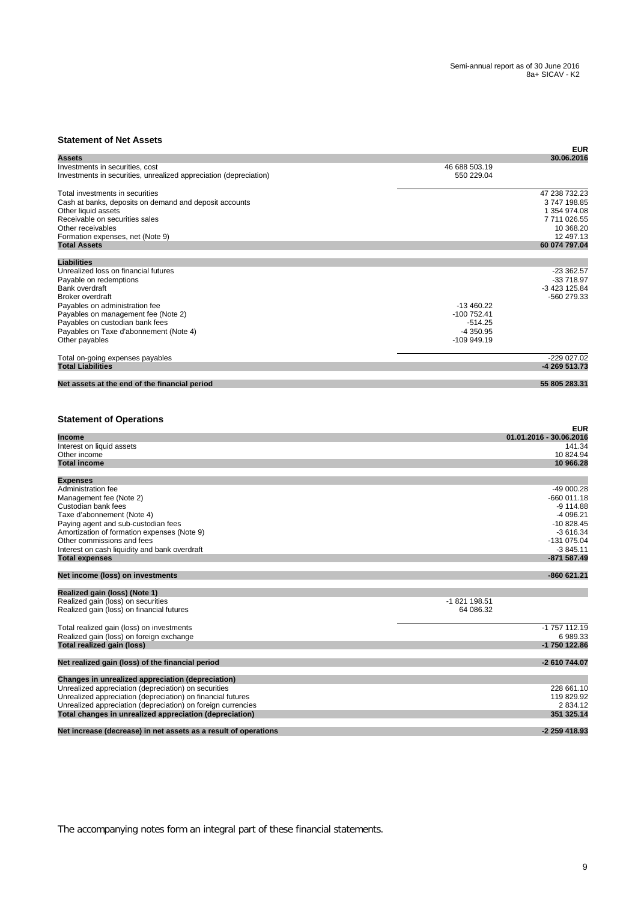## **Statement of Net Assets**

| יככה וושות שו וזשנ                                                                                   |                             | <b>EUR</b> |
|------------------------------------------------------------------------------------------------------|-----------------------------|------------|
| Assets                                                                                               | 30.06.2016                  |            |
| Investments in securities, cost<br>Investments in securities, unrealized appreciation (depreciation) | 46 688 503.19<br>550 229.04 |            |
| Total investments in securities                                                                      | 47 238 732.23               |            |
| Cash at banks, deposits on demand and deposit accounts                                               | 3747198.85                  |            |
| Other liquid assets                                                                                  | 1 354 974.08                |            |
| Receivable on securities sales                                                                       | 7711026.55                  |            |
| Other receivables                                                                                    | 10 368.20                   |            |
| Formation expenses, net (Note 9)                                                                     | 12 497.13                   |            |
| <b>Total Assets</b>                                                                                  | 60 074 797.04               |            |
|                                                                                                      |                             |            |
| <b>Liabilities</b>                                                                                   |                             |            |
| Unrealized loss on financial futures                                                                 | $-23362.57$                 |            |
| Payable on redemptions                                                                               | -33 718.97                  |            |
| Bank overdraft                                                                                       | -3 423 125.84               |            |
| <b>Broker overdraft</b>                                                                              | -560 279.33                 |            |
| Payables on administration fee                                                                       | $-13460.22$                 |            |
| Payables on management fee (Note 2)                                                                  | $-100752.41$                |            |
| Payables on custodian bank fees                                                                      | $-514.25$                   |            |
| Payables on Taxe d'abonnement (Note 4)                                                               | -4 350.95                   |            |
| Other payables                                                                                       | -109 949.19                 |            |
|                                                                                                      | -229 027.02                 |            |
| Total on-going expenses payables<br><b>Total Liabilities</b>                                         | -4 269 513.73               |            |
|                                                                                                      |                             |            |
| Net assets at the end of the financial period                                                        | 55 805 283.31               |            |
|                                                                                                      |                             |            |
| <b>Statement of Operations</b>                                                                       |                             |            |
| <b>Income</b>                                                                                        | 01.01.2016 - 30.06.2016     | <b>EUR</b> |
| Interest on liquid assets                                                                            | 141.34                      |            |
| Other income                                                                                         | 10 824.94                   |            |
| <b>Total income</b>                                                                                  | 10 966.28                   |            |
|                                                                                                      |                             |            |
| <b>Expenses</b>                                                                                      |                             |            |
| Administration fee                                                                                   | -49 000.28                  |            |
| Management fee (Note 2)                                                                              | -660 011.18                 |            |
| Custodian bank fees                                                                                  | $-9114.88$                  |            |
| Taxe d'abonnement (Note 4)                                                                           | $-4096.21$                  |            |
| Paying agent and sub-custodian fees                                                                  | $-10828.45$                 |            |
| Amortization of formation expenses (Note 9)                                                          | $-3616.34$                  |            |
| Other commissions and fees                                                                           | -131 075.04                 |            |
|                                                                                                      |                             |            |
| Interest on cash liquidity and bank overdraft                                                        | $-3845.11$                  |            |
| <b>Total expenses</b>                                                                                | -871 587.49                 |            |
| Net income (loss) on investments                                                                     | -860 621.21                 |            |
| Realized gain (loss) (Note 1)                                                                        |                             |            |
| Realized gain (loss) on securities                                                                   | -1 821 198.51               |            |
| Realized gain (loss) on financial futures                                                            | 64 086.32                   |            |
|                                                                                                      |                             |            |
| Total realized gain (loss) on investments                                                            | -1 757 112.19               |            |
| Realized gain (loss) on foreign exchange                                                             | 6 989.33                    |            |
| Total realized gain (loss)                                                                           | -1 750 122.86               |            |
| Net realized gain (loss) of the financial period                                                     | -2 610 744.07               |            |
|                                                                                                      |                             |            |
| Changes in unrealized appreciation (depreciation)                                                    |                             |            |
| Unrealized appreciation (depreciation) on securities                                                 | 228 661.10                  |            |
| Unrealized appreciation (depreciation) on financial futures                                          | 119 829.92                  |            |
| Unrealized appreciation (depreciation) on foreign currencies                                         | 2 834.12                    |            |
| Total changes in unrealized appreciation (depreciation)                                              | 351 325.14                  |            |
| Net increase (decrease) in net assets as a result of operations                                      | -2 259 418.93               |            |
|                                                                                                      |                             |            |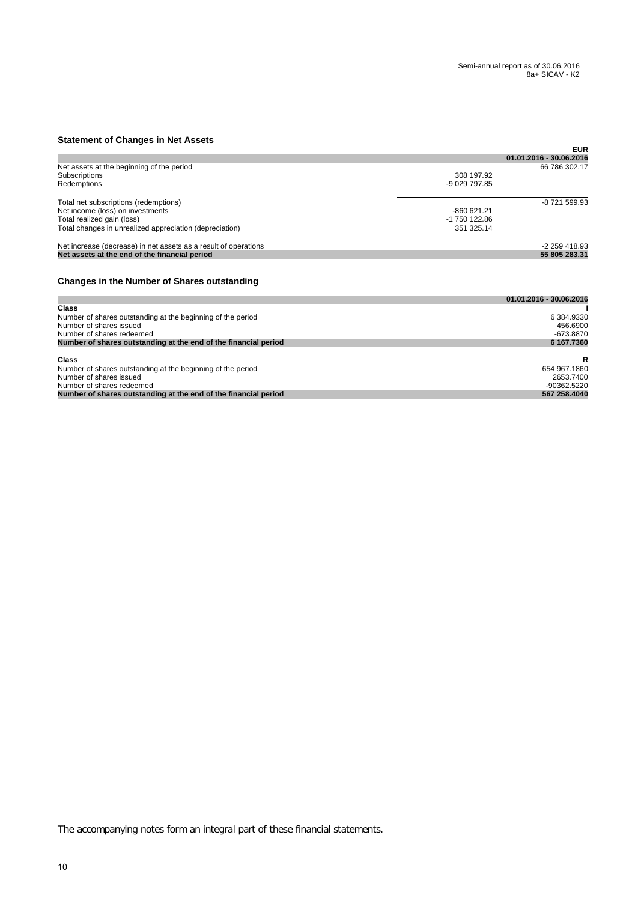## **Statement of Changes in Net Assets**

| <b>UNIVERSITY OF UNIVERSITY AND ASSOCIS</b>                     |               |                         |
|-----------------------------------------------------------------|---------------|-------------------------|
|                                                                 |               | <b>EUR</b>              |
|                                                                 |               | 01.01.2016 - 30.06.2016 |
| Net assets at the beginning of the period                       |               | 66 786 302.17           |
| Subscriptions                                                   | 308 197.92    |                         |
| Redemptions                                                     | $-9029797.85$ |                         |
| Total net subscriptions (redemptions)                           |               | -8 721 599.93           |
| Net income (loss) on investments                                | -860 621.21   |                         |
| Total realized gain (loss)                                      | -1 750 122.86 |                         |
| Total changes in unrealized appreciation (depreciation)         | 351 325.14    |                         |
| Net increase (decrease) in net assets as a result of operations |               | -2 259 418.93           |
| Net assets at the end of the financial period                   |               | 55 805 283.31           |
|                                                                 |               |                         |

## **Changes in the Number of Shares outstanding**

|                                                                 | 01.01.2016 - 30.06.2016 |
|-----------------------------------------------------------------|-------------------------|
| Class                                                           |                         |
| Number of shares outstanding at the beginning of the period     | 6 384.9330              |
| Number of shares issued                                         | 456.6900                |
| Number of shares redeemed                                       | -673.8870               |
| Number of shares outstanding at the end of the financial period | 6 167,7360              |
|                                                                 |                         |
| <b>Class</b>                                                    | R                       |
| Number of shares outstanding at the beginning of the period     | 654 967.1860            |
| Number of shares issued                                         | 2653.7400               |
| Number of shares redeemed                                       | $-90362.5220$           |
| Number of shares outstanding at the end of the financial period | 567 258,4040            |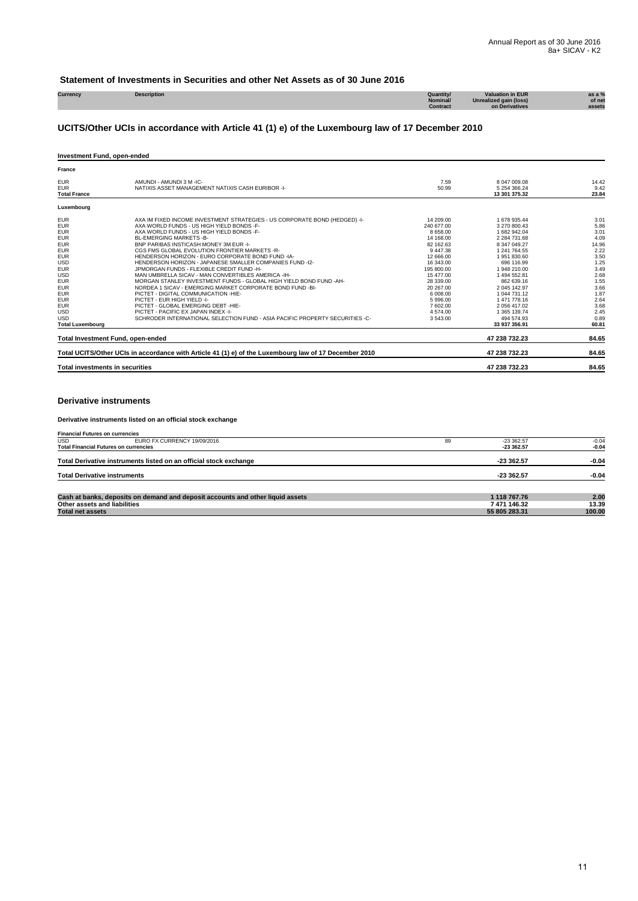## **Statement of Investments in Securities and other Net Assets as of 30 June 2016**

| Currency | <b>Description</b> | Quantity/ | luation in EUR         | as a % |
|----------|--------------------|-----------|------------------------|--------|
|          |                    | Nominal/  | Unrealized gain (loss) | of net |
|          |                    | Contract  | on Derivatives         | assets |
|          |                    |           |                        |        |

## **UCITS/Other UCIs in accordance with Article 41 (1) e) of the Luxembourg law of 17 December 2010**

#### **Investment Fund, open-ended**

| France                                                                                                                                                                                                                                                                |                                                                                                                                                                                                                                                                                                                                                                                                                                                                                                                                                                                                                                                                                                                                                                                                                                                                                         |                                                                                                                                                                                                                     |                                                                                                                                                                                                                                                                                      |                                                                                                                                                |
|-----------------------------------------------------------------------------------------------------------------------------------------------------------------------------------------------------------------------------------------------------------------------|-----------------------------------------------------------------------------------------------------------------------------------------------------------------------------------------------------------------------------------------------------------------------------------------------------------------------------------------------------------------------------------------------------------------------------------------------------------------------------------------------------------------------------------------------------------------------------------------------------------------------------------------------------------------------------------------------------------------------------------------------------------------------------------------------------------------------------------------------------------------------------------------|---------------------------------------------------------------------------------------------------------------------------------------------------------------------------------------------------------------------|--------------------------------------------------------------------------------------------------------------------------------------------------------------------------------------------------------------------------------------------------------------------------------------|------------------------------------------------------------------------------------------------------------------------------------------------|
| <b>EUR</b><br><b>EUR</b><br><b>Total France</b>                                                                                                                                                                                                                       | AMUNDI - AMUNDI 3 M -IC-<br>NATIXIS ASSET MANAGEMENT NATIXIS CASH EURIBOR -I-                                                                                                                                                                                                                                                                                                                                                                                                                                                                                                                                                                                                                                                                                                                                                                                                           | 7.59<br>50.99                                                                                                                                                                                                       | 8 047 009.08<br>5 254 366.24<br>13 301 375.32                                                                                                                                                                                                                                        | 14.42<br>9.42<br>23.84                                                                                                                         |
| Luxembourg                                                                                                                                                                                                                                                            |                                                                                                                                                                                                                                                                                                                                                                                                                                                                                                                                                                                                                                                                                                                                                                                                                                                                                         |                                                                                                                                                                                                                     |                                                                                                                                                                                                                                                                                      |                                                                                                                                                |
| <b>EUR</b><br><b>EUR</b><br><b>EUR</b><br><b>EUR</b><br><b>EUR</b><br><b>EUR</b><br><b>EUR</b><br><b>USD</b><br><b>EUR</b><br><b>USD</b><br><b>EUR</b><br><b>EUR</b><br><b>EUR</b><br><b>EUR</b><br><b>EUR</b><br><b>USD</b><br><b>USD</b><br><b>Total Luxembourg</b> | AXA IM FIXED INCOME INVESTMENT STRATEGIES - US CORPORATE BOND (HEDGED) -I-<br>AXA WORLD FUNDS - US HIGH YIELD BONDS -F-<br>AXA WORLD FUNDS - US HIGH YIELD BONDS -F-<br>BL-EMERGING MARKETS-B-<br>BNP PARIBAS INSTICASH MONEY 3M EUR -I-<br>CGS FMS GLOBAL EVOLUTION FRONTIER MARKETS -R-<br>HENDERSON HORIZON - EURO CORPORATE BOND FUND -IA-<br>HENDERSON HORIZON - JAPANESE SMALLER COMPANIES FUND -12-<br>JPMORGAN FUNDS - FLEXIBLE CREDIT FUND -H-<br>MAN UMBRELLA SICAV - MAN CONVERTIBLES AMERICA - IH-<br>MORGAN STANLEY INVESTMENT FUNDS - GLOBAL HIGH YIELD BOND FUND -AH-<br>NORDEA 1 SICAV - EMERGING MARKET CORPORATE BOND FUND -BI-<br>PICTET - DIGITAL COMMUNICATION - HIE-<br>PICTET - EUR HIGH YIELD -I-<br>PICTET - GLOBAL EMERGING DEBT -HIE-<br>PICTET - PACIFIC EX JAPAN INDEX -I-<br>SCHRODER INTERNATIONAL SELECTION FUND - ASIA PACIFIC PROPERTY SECURITIES -C- | 14 209.00<br>240 677.00<br>8 658.00<br>14 168.00<br>82 162.63<br>9 447.38<br>12 666.00<br>16 343.00<br>195 800.00<br>15 477.00<br>28 339.00<br>20 267.00<br>6 008.00<br>5996.00<br>7 602.00<br>4 574.00<br>3 543.00 | 1 678 935.44<br>3 270 800.43<br>1 682 942.04<br>2 284 731.68<br>8 347 049.27<br>1 241 764.55<br>1951830.60<br>696 116.99<br>1948 210.00<br>1 494 552.81<br>862 639.16<br>2 045 142.97<br>1 044 731.12<br>1 471 778.16<br>2 056 417.02<br>1 365 139.74<br>494 574 93<br>33 937 356.91 | 3.01<br>5.86<br>3.01<br>4.09<br>14.96<br>2.22<br>3.50<br>1.25<br>3.49<br>2.68<br>1.55<br>3.66<br>1.87<br>2.64<br>3.68<br>2.45<br>0.89<br>60.81 |
| Total Investment Fund, open-ended                                                                                                                                                                                                                                     |                                                                                                                                                                                                                                                                                                                                                                                                                                                                                                                                                                                                                                                                                                                                                                                                                                                                                         |                                                                                                                                                                                                                     | 47 238 732.23                                                                                                                                                                                                                                                                        | 84.65                                                                                                                                          |
|                                                                                                                                                                                                                                                                       | Total UCITS/Other UCIs in accordance with Article 41 (1) e) of the Luxembourg law of 17 December 2010                                                                                                                                                                                                                                                                                                                                                                                                                                                                                                                                                                                                                                                                                                                                                                                   |                                                                                                                                                                                                                     | 47 238 732.23                                                                                                                                                                                                                                                                        | 84.65                                                                                                                                          |
| <b>Total investments in securities</b>                                                                                                                                                                                                                                |                                                                                                                                                                                                                                                                                                                                                                                                                                                                                                                                                                                                                                                                                                                                                                                                                                                                                         |                                                                                                                                                                                                                     | 47 238 732.23                                                                                                                                                                                                                                                                        | 84.65                                                                                                                                          |

#### **Derivative instruments**

#### **Derivative instruments listed on an official stock exchange**

| <b>Financial Futures on currencies</b> |                                                                                |    |               |         |  |  |
|----------------------------------------|--------------------------------------------------------------------------------|----|---------------|---------|--|--|
| <b>USD</b>                             | EURO FX CURRENCY 19/09/2016                                                    | 89 | $-23.362.57$  | $-0.04$ |  |  |
|                                        | <b>Total Financial Futures on currencies</b>                                   |    | $-23.362.57$  | $-0.04$ |  |  |
|                                        | Total Derivative instruments listed on an official stock exchange              |    | $-23362.57$   | $-0.04$ |  |  |
| <b>Total Derivative instruments</b>    |                                                                                |    | $-233362.57$  | $-0.04$ |  |  |
|                                        | Cash at banks, deposits on demand and deposit accounts and other liquid assets |    | 1 118 767.76  | 2.00    |  |  |
| Other assets and liabilities           |                                                                                |    | 7 471 146.32  | 13.39   |  |  |
| <b>Total net assets</b>                |                                                                                |    | 55 805 283.31 | 100.00  |  |  |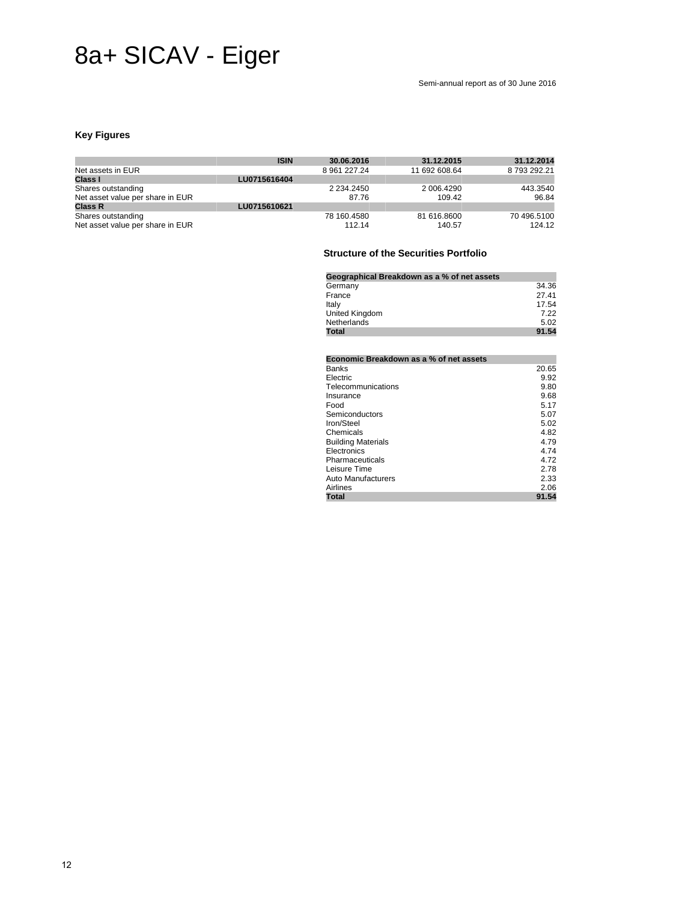# 8a+ SICAV - Eiger

## **Key Figures**

|                                  | <b>ISIN</b>  | 30.06.2016      | 31.12.2015    | 31.12.2014  |
|----------------------------------|--------------|-----------------|---------------|-------------|
| Net assets in EUR                |              | 8 961 227.24    | 11 692 608.64 | 8793292.21  |
| Class I                          | LU0715616404 |                 |               |             |
| Shares outstanding               |              | 2 2 3 4 2 4 5 0 | 2 006 4290    | 443.3540    |
| Net asset value per share in EUR |              | 87.76           | 109.42        | 96.84       |
| <b>Class R</b>                   | LU0715610621 |                 |               |             |
| Shares outstanding               |              | 78 160.4580     | 81 616,8600   | 70 496 5100 |
| Net asset value per share in EUR |              | 112.14          | 140.57        | 124.12      |

## **Structure of the Securities Portfolio**

| Geographical Breakdown as a % of net assets |       |
|---------------------------------------------|-------|
| Germany                                     | 34.36 |
| France                                      | 27.41 |
| Italy                                       | 17.54 |
| United Kingdom                              | 7.22  |
| Netherlands                                 | 5.02  |
| Total                                       | 91.54 |

|                           | Economic Breakdown as a % of net assets |  |
|---------------------------|-----------------------------------------|--|
| Banks                     | 20.65                                   |  |
| Electric                  | 9.92                                    |  |
| Telecommunications        | 9.80                                    |  |
| Insurance                 | 9.68                                    |  |
| Food                      | 5.17                                    |  |
| Semiconductors            | 5.07                                    |  |
| Iron/Steel                | 5.02                                    |  |
| Chemicals                 | 4.82                                    |  |
| <b>Building Materials</b> | 4.79                                    |  |
| Electronics               | 4.74                                    |  |
| Pharmaceuticals           | 4.72                                    |  |
| Leisure Time              | 2.78                                    |  |
| Auto Manufacturers        | 2.33                                    |  |
| Airlines                  | 2.06                                    |  |
| <b>Total</b>              | 91.54                                   |  |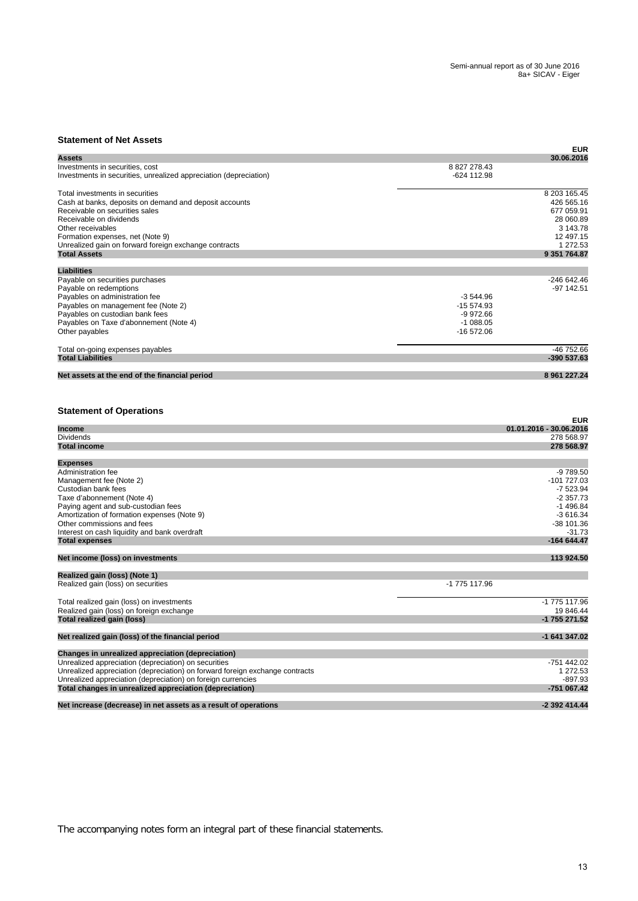## **Statement of Net Assets**

| เนเงกางกาเ บก เจงเ คงจงง                                                     |               | <b>EUR</b>                            |
|------------------------------------------------------------------------------|---------------|---------------------------------------|
| Assets                                                                       |               | 30.06.2016                            |
| Investments in securities, cost                                              | 8 827 278.43  |                                       |
| Investments in securities, unrealized appreciation (depreciation)            | -624 112.98   |                                       |
|                                                                              |               |                                       |
| Total investments in securities                                              |               | 8 203 165.45                          |
| Cash at banks, deposits on demand and deposit accounts                       |               | 426 565.16                            |
| Receivable on securities sales                                               |               | 677 059.91                            |
| Receivable on dividends                                                      |               | 28 060.89                             |
| Other receivables                                                            |               | 3 143.78                              |
|                                                                              |               |                                       |
| Formation expenses, net (Note 9)                                             |               | 12 497.15                             |
| Unrealized gain on forward foreign exchange contracts                        |               | 1 272.53                              |
| <b>Total Assets</b>                                                          |               | 9 351 764.87                          |
| <b>Liabilities</b>                                                           |               |                                       |
|                                                                              |               |                                       |
| Payable on securities purchases                                              |               | -246 642.46                           |
| Payable on redemptions                                                       |               | $-97$ 142.51                          |
| Payables on administration fee                                               | $-3544.96$    |                                       |
| Payables on management fee (Note 2)                                          | -15 574.93    |                                       |
|                                                                              |               |                                       |
| Payables on custodian bank fees                                              | $-9972.66$    |                                       |
| Payables on Taxe d'abonnement (Note 4)                                       | $-1088.05$    |                                       |
| Other payables                                                               | -16 572.06    |                                       |
|                                                                              |               |                                       |
| Total on-going expenses payables<br><b>Total Liabilities</b>                 |               | -46 752.66<br>-390 537.63             |
|                                                                              |               |                                       |
| Net assets at the end of the financial period                                |               | 8 961 227.24                          |
| <b>Statement of Operations</b><br><b>Income</b>                              |               | <b>EUR</b><br>01.01.2016 - 30.06.2016 |
| <b>Dividends</b>                                                             |               |                                       |
|                                                                              |               | 278 568.97                            |
| <b>Total income</b>                                                          |               | 278 568.97                            |
| <b>Expenses</b>                                                              |               |                                       |
| Administration fee                                                           |               | $-9789.50$                            |
|                                                                              |               |                                       |
| Management fee (Note 2)                                                      |               | -101 727.03                           |
| Custodian bank fees                                                          |               | $-7523.94$                            |
| Taxe d'abonnement (Note 4)                                                   |               | $-2.357.73$                           |
| Paying agent and sub-custodian fees                                          |               | $-1496.84$                            |
| Amortization of formation expenses (Note 9)                                  |               | $-3616.34$                            |
|                                                                              |               |                                       |
| Other commissions and fees                                                   |               | -38 101.36                            |
| Interest on cash liquidity and bank overdraft                                |               | $-31.73$                              |
| <b>Total expenses</b>                                                        |               | -164 644.47                           |
| Net income (loss) on investments                                             |               | 113 924.50                            |
|                                                                              |               |                                       |
| Realized gain (loss) (Note 1)                                                |               |                                       |
| Realized gain (loss) on securities                                           | -1 775 117.96 |                                       |
|                                                                              |               |                                       |
| Total realized gain (loss) on investments                                    |               | -1 775 117.96                         |
| Realized gain (loss) on foreign exchange                                     |               | 19 846.44                             |
|                                                                              |               |                                       |
| Total realized gain (loss)                                                   |               | -1 755 271.52                         |
| Net realized gain (loss) of the financial period                             |               | -1 641 347.02                         |
| Changes in unrealized appreciation (depreciation)                            |               |                                       |
| Unrealized appreciation (depreciation) on securities                         |               | -751 442.02                           |
|                                                                              |               |                                       |
| Unrealized appreciation (depreciation) on forward foreign exchange contracts |               | 1 272.53                              |
| Unrealized appreciation (depreciation) on foreign currencies                 |               | $-897.93$                             |
| Total changes in unrealized appreciation (depreciation)                      |               | -751 067.42                           |
|                                                                              |               |                                       |
| Net increase (decrease) in net assets as a result of operations              |               | -2 392 414.44                         |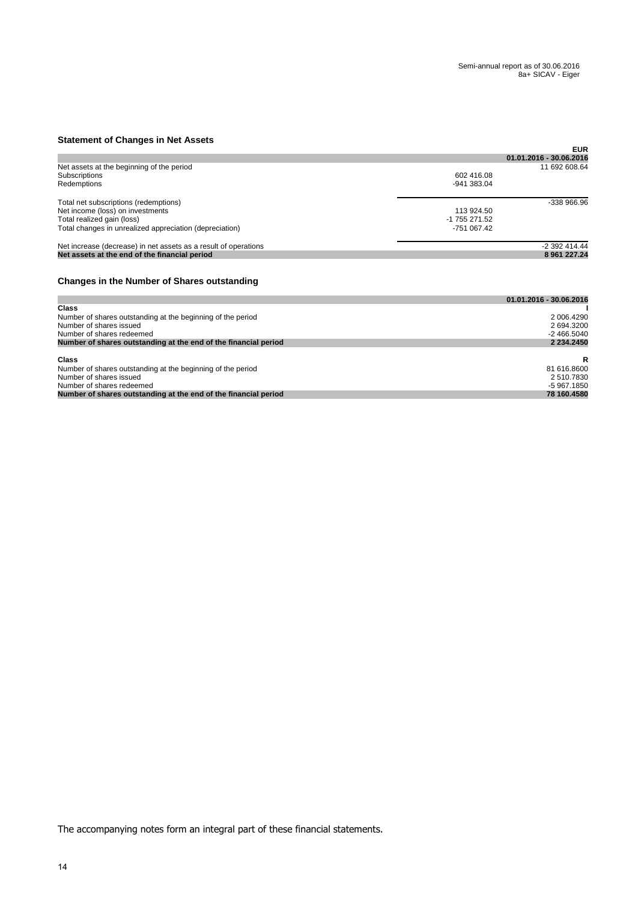## **Statement of Changes in Net Assets**

| <b>UNIVERSITY OF UNIVERSITY AND ASSOCIS</b>                     |               |                         |
|-----------------------------------------------------------------|---------------|-------------------------|
|                                                                 |               | <b>EUR</b>              |
|                                                                 |               | 01.01.2016 - 30.06.2016 |
| Net assets at the beginning of the period                       |               | 11 692 608.64           |
| Subscriptions                                                   | 602 416.08    |                         |
| Redemptions                                                     | -941 383.04   |                         |
| Total net subscriptions (redemptions)                           |               | -338 966.96             |
| Net income (loss) on investments                                | 113 924.50    |                         |
| Total realized gain (loss)                                      | -1 755 271.52 |                         |
| Total changes in unrealized appreciation (depreciation)         | -751 067.42   |                         |
| Net increase (decrease) in net assets as a result of operations |               | -2 392 414.44           |
| Net assets at the end of the financial period                   |               | 8 961 227.24            |
|                                                                 |               |                         |

## **Changes in the Number of Shares outstanding**

|                                                                 | 01.01.2016 - 30.06.2016 |
|-----------------------------------------------------------------|-------------------------|
| <b>Class</b>                                                    |                         |
| Number of shares outstanding at the beginning of the period     | 2 006.4290              |
| Number of shares issued                                         | 2 694.3200              |
| Number of shares redeemed                                       | $-2466.5040$            |
| Number of shares outstanding at the end of the financial period | 2 234,2450              |
|                                                                 |                         |
| <b>Class</b>                                                    | R                       |
| Number of shares outstanding at the beginning of the period     | 81 616,8600             |
| Number of shares issued                                         | 2 510.7830              |
| Number of shares redeemed                                       | -5 967.1850             |
| Number of shares outstanding at the end of the financial period | 78 160.4580             |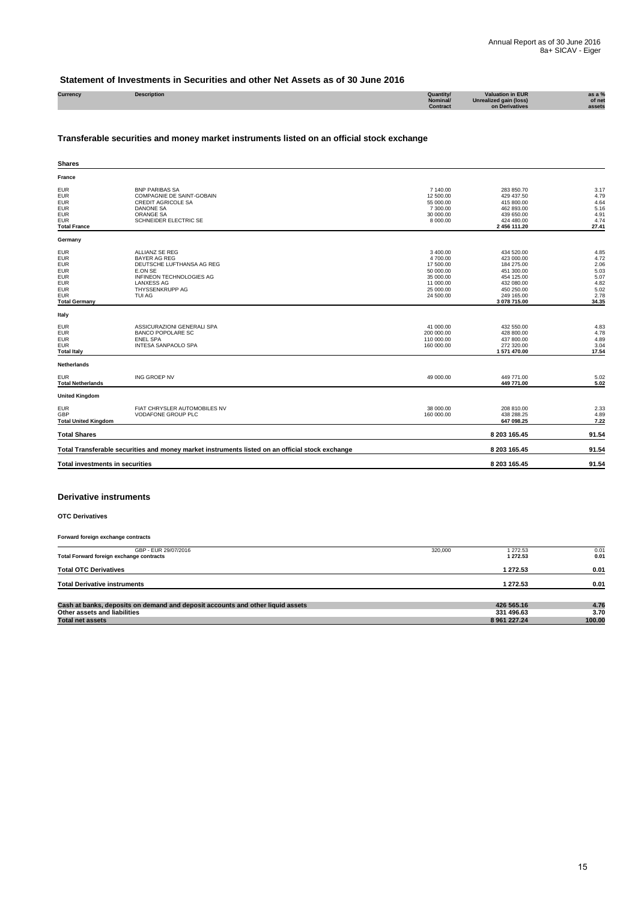#### **Statement of Investments in Securities and other Net Assets as of 30 June 2016**

| Currency | <b>Description</b> | Quantity | <b>Valuation in EUR</b> | as a $%$ |
|----------|--------------------|----------|-------------------------|----------|
|          |                    | Nominal/ | Unrealized gain (loss)  | of net   |
|          |                    | Contract | on Derivatives          | assets   |
|          |                    |          |                         |          |

## **Transferable securities and money market instruments listed on an official stock exchange**

| <b>Shares</b>                                                                                                                        |                                                                                                                                                                    |                                                                                                    |                                                                                                                              |                                                                       |
|--------------------------------------------------------------------------------------------------------------------------------------|--------------------------------------------------------------------------------------------------------------------------------------------------------------------|----------------------------------------------------------------------------------------------------|------------------------------------------------------------------------------------------------------------------------------|-----------------------------------------------------------------------|
| France                                                                                                                               |                                                                                                                                                                    |                                                                                                    |                                                                                                                              |                                                                       |
| <b>EUR</b><br><b>EUR</b><br><b>EUR</b><br><b>EUR</b><br><b>EUR</b><br><b>EUR</b><br><b>Total France</b>                              | <b>BNP PARIBAS SA</b><br>COMPAGNIE DE SAINT-GOBAIN<br><b>CREDIT AGRICOLE SA</b><br><b>DANONE SA</b><br>ORANGE SA<br>SCHNEIDER ELECTRIC SE                          | 7 140.00<br>12 500.00<br>55 000.00<br>7 300.00<br>30 000.00<br>8 000.00                            | 283 850.70<br>429 437.50<br>415 800.00<br>462 893.00<br>439 650.00<br>424 480.00<br>2 456 111.20                             | 3.17<br>4.79<br>4.64<br>5.16<br>4.91<br>4.74<br>27.41                 |
| Germany                                                                                                                              |                                                                                                                                                                    |                                                                                                    |                                                                                                                              |                                                                       |
| <b>EUR</b><br><b>EUR</b><br><b>EUR</b><br><b>EUR</b><br><b>EUR</b><br><b>EUR</b><br><b>EUR</b><br><b>EUR</b><br><b>Total Germany</b> | ALLIANZ SE REG<br><b>BAYER AG REG</b><br>DEUTSCHE LUFTHANSA AG REG<br>E.ON SE<br><b>INFINEON TECHNOLOGIES AG</b><br><b>LANXESS AG</b><br>THYSSENKRUPP AG<br>TUI AG | 3 400.00<br>4 700.00<br>17 500.00<br>50 000.00<br>35 000.00<br>11 000.00<br>25 000.00<br>24 500.00 | 434 520.00<br>423 000.00<br>184 275.00<br>451 300.00<br>454 125.00<br>432 080.00<br>450 250.00<br>249 165.00<br>3 078 715.00 | 4.85<br>4.72<br>2.06<br>5.03<br>5.07<br>4.82<br>5.02<br>2.78<br>34.35 |
| Italy                                                                                                                                |                                                                                                                                                                    |                                                                                                    |                                                                                                                              |                                                                       |
| <b>EUR</b><br><b>EUR</b><br><b>EUR</b><br><b>EUR</b><br><b>Total Italy</b>                                                           | ASSICURAZIONI GENERALI SPA<br><b>BANCO POPOLARE SC</b><br><b>ENEL SPA</b><br><b>INTESA SANPAOLO SPA</b>                                                            | 41 000.00<br>200 000.00<br>110 000.00<br>160 000.00                                                | 432 550.00<br>428 800.00<br>437 800.00<br>272 320.00<br>1 571 470.00                                                         | 4.83<br>4.78<br>4.89<br>3.04<br>17.54                                 |
| Netherlands                                                                                                                          |                                                                                                                                                                    |                                                                                                    |                                                                                                                              |                                                                       |
| <b>EUR</b><br><b>Total Netherlands</b>                                                                                               | <b>ING GROEP NV</b>                                                                                                                                                | 49 000.00                                                                                          | 449 771.00<br>449 771.00                                                                                                     | 5.02<br>5.02                                                          |
| <b>United Kingdom</b>                                                                                                                |                                                                                                                                                                    |                                                                                                    |                                                                                                                              |                                                                       |
| <b>EUR</b><br>GBP<br><b>Total United Kingdom</b>                                                                                     | FIAT CHRYSLER AUTOMOBILES NV<br>VODAFONE GROUP PLC                                                                                                                 | 38 000.00<br>160 000.00                                                                            | 208 810.00<br>438 288.25<br>647 098.25                                                                                       | 2.33<br>4.89<br>7.22                                                  |
| <b>Total Shares</b>                                                                                                                  |                                                                                                                                                                    |                                                                                                    | 8 203 165.45                                                                                                                 | 91.54                                                                 |
|                                                                                                                                      | Total Transferable securities and money market instruments listed on an official stock exchange                                                                    |                                                                                                    | 8 203 165.45                                                                                                                 | 91.54                                                                 |
| <b>Total investments in securities</b>                                                                                               |                                                                                                                                                                    |                                                                                                    | 8 203 165.45                                                                                                                 | 91.54                                                                 |
|                                                                                                                                      |                                                                                                                                                                    |                                                                                                    |                                                                                                                              |                                                                       |

#### **Derivative instruments**

**OTC Derivatives**

**Forward foreign exchange contracts** GBP - EUR 29/07/2016 320,000 1 272.53 0.01 **Total Forward foreign exchange contracts 1 272.53 0.01 Total OTC Derivatives 1 272.53 0.01 Total Derivative instruments 1 272.53 0.01 Cash at banks, deposits on demand and deposit accounts and other liquid assets 426 565.16 4.76 Other assets and liabilities 331 496.63 3.70 Total net assets 8 961 227.24 100.00**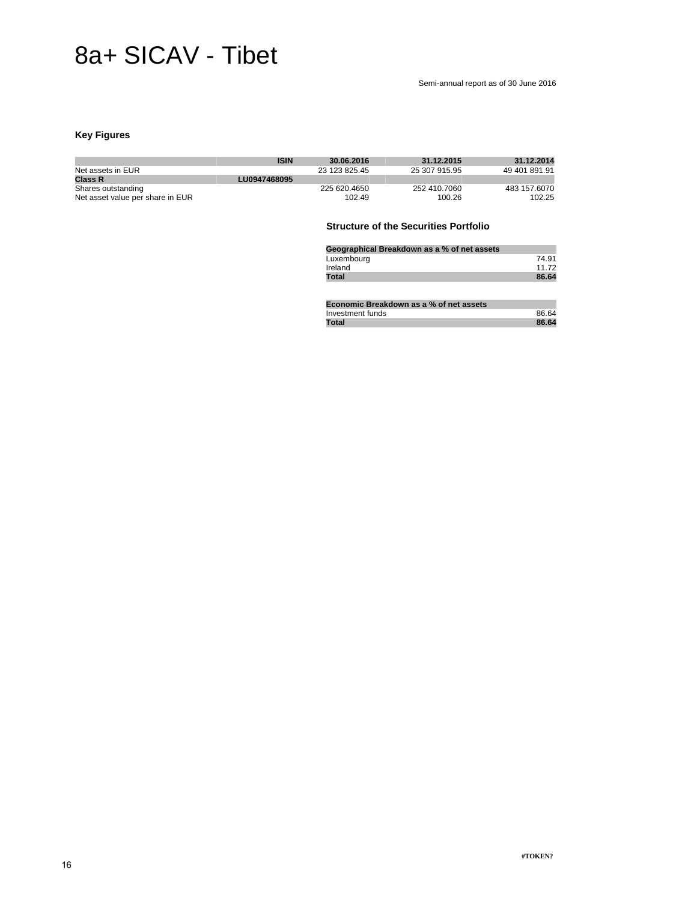## 8a+ SICAV - Tibet

#### Semi-annual report as of 30 June 2016

## **Key Figures**

|                                  | <b>ISIN</b>  | 30.06.2016    | 31.12.2015    | 31.12.2014    |
|----------------------------------|--------------|---------------|---------------|---------------|
| Net assets in EUR                |              | 23 123 825 45 | 25 307 915 95 | 49 401 891 91 |
| <b>Class R</b>                   | LU0947468095 |               |               |               |
| Shares outstanding               |              | 225 620 4650  | 252 410,7060  | 483 157,6070  |
| Net asset value per share in EUR |              | 102.49        | 100.26        | 102.25        |

## **Structure of the Securities Portfolio**

| Geographical Breakdown as a % of net assets |       |
|---------------------------------------------|-------|
| Luxembourg                                  | 74.91 |
| Ireland                                     | 11 72 |
| Total                                       | 86.64 |

| Economic Breakdown as a % of net assets |       |
|-----------------------------------------|-------|
| Investment funds                        | 86.64 |
| Total                                   | 86.64 |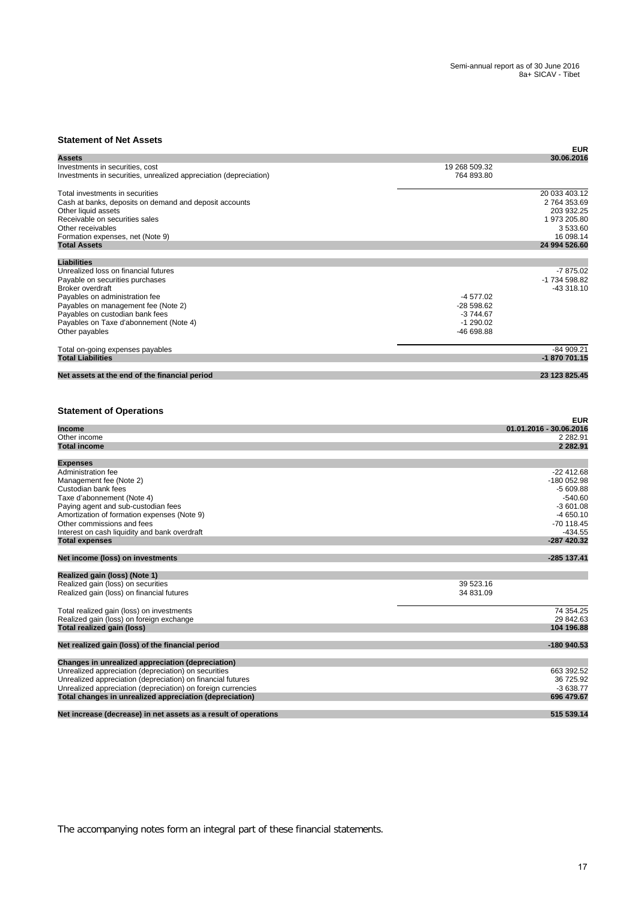## **Statement of Net Assets**

| סנמוטוווטוונ טו וזטנ הששט                                                                            |                             | <b>EUR</b>                                             |
|------------------------------------------------------------------------------------------------------|-----------------------------|--------------------------------------------------------|
| Assets                                                                                               |                             | 30.06.2016                                             |
| Investments in securities, cost<br>Investments in securities, unrealized appreciation (depreciation) | 19 268 509.32<br>764 893.80 |                                                        |
| Total investments in securities                                                                      |                             | 20 033 403.12                                          |
|                                                                                                      |                             |                                                        |
| Cash at banks, deposits on demand and deposit accounts                                               |                             | 2 764 353.69                                           |
| Other liquid assets                                                                                  |                             | 203 932.25                                             |
| Receivable on securities sales                                                                       |                             | 1 973 205.80                                           |
| Other receivables                                                                                    |                             | 3533.60                                                |
| Formation expenses, net (Note 9)                                                                     |                             | 16 098.14                                              |
| <b>Total Assets</b>                                                                                  |                             | 24 994 526.60                                          |
| <b>Liabilities</b>                                                                                   |                             |                                                        |
| Unrealized loss on financial futures                                                                 |                             | $-7875.02$                                             |
| Payable on securities purchases                                                                      |                             | -1 734 598.82                                          |
| Broker overdraft                                                                                     |                             | -43 318.10                                             |
| Payables on administration fee                                                                       | -4 577.02                   |                                                        |
| Payables on management fee (Note 2)                                                                  | $-28598.62$                 |                                                        |
|                                                                                                      | $-3744.67$                  |                                                        |
| Payables on custodian bank fees                                                                      |                             |                                                        |
| Payables on Taxe d'abonnement (Note 4)                                                               | $-1290.02$                  |                                                        |
| Other payables                                                                                       | -46 698.88                  |                                                        |
| Total on-going expenses payables                                                                     |                             | $-84909.21$                                            |
| <b>Total Liabilities</b>                                                                             |                             | -1 870 701.15                                          |
| Net assets at the end of the financial period                                                        |                             | 23 123 825.45                                          |
| <b>Income</b><br>Other income                                                                        |                             | <b>EUR</b><br>01.01.2016 - 30.06.2016<br>2 2 8 2 . 9 1 |
| <b>Total income</b>                                                                                  |                             | 2 282.91                                               |
| <b>Expenses</b>                                                                                      |                             |                                                        |
| Administration fee                                                                                   |                             | -22 412.68                                             |
| Management fee (Note 2)                                                                              |                             | -180 052.98                                            |
|                                                                                                      |                             |                                                        |
| Custodian bank fees                                                                                  |                             | $-5609.88$                                             |
| Taxe d'abonnement (Note 4)                                                                           |                             | $-540.60$                                              |
| Paying agent and sub-custodian fees                                                                  |                             | $-3601.08$                                             |
| Amortization of formation expenses (Note 9)                                                          |                             | $-4650.10$                                             |
| Other commissions and fees                                                                           |                             | -70 118.45                                             |
| Interest on cash liquidity and bank overdraft                                                        |                             | $-434.55$                                              |
| <b>Total expenses</b>                                                                                |                             | -287 420.32                                            |
| Net income (loss) on investments                                                                     |                             | -285 137.41                                            |
|                                                                                                      |                             |                                                        |
| Realized gain (loss) (Note 1)                                                                        |                             |                                                        |
| Realized gain (loss) on securities                                                                   | 39 523 16                   |                                                        |
| Realized gain (loss) on financial futures                                                            | 34 831.09                   |                                                        |
| Total realized gain (loss) on investments                                                            |                             | 74 354.25                                              |
| Realized gain (loss) on foreign exchange                                                             |                             | 29 842.63                                              |
| Total realized gain (loss)                                                                           |                             | 104 196.88                                             |
|                                                                                                      |                             |                                                        |
| Net realized gain (loss) of the financial period                                                     |                             | -180 940.53                                            |
| Changes in unrealized appreciation (depreciation)                                                    |                             |                                                        |
| Unrealized appreciation (depreciation) on securities                                                 |                             | 663 392.52                                             |
| Unrealized appreciation (depreciation) on financial futures                                          |                             | 36 725.92                                              |
| Unrealized appreciation (depreciation) on foreign currencies                                         |                             | $-3638.77$                                             |
| Total changes in unrealized appreciation (depreciation)                                              |                             | 696 479.67                                             |
|                                                                                                      |                             |                                                        |
| Net increase (decrease) in net assets as a result of operations                                      |                             | 515 539.14                                             |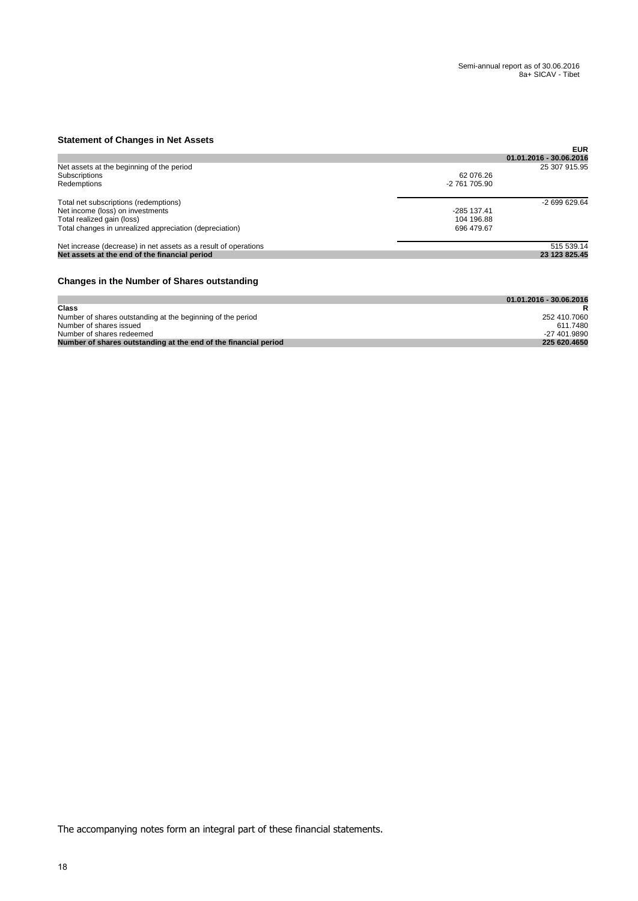## **Statement of Changes in Net Assets**

|               | <b>EUR</b>              |
|---------------|-------------------------|
|               | 01.01.2016 - 30.06.2016 |
|               | 25 307 915.95           |
| 62 076.26     |                         |
| -2 761 705 90 |                         |
|               | $-269962964$            |
| -285 137.41   |                         |
| 104 196.88    |                         |
| 696 479.67    |                         |
|               | 515 539.14              |
|               | 23 123 825.45           |
|               |                         |
|               |                         |

## **Changes in the Number of Shares outstanding**

|                                                                 | 01.01.2016 - 30.06.2016 |
|-----------------------------------------------------------------|-------------------------|
| Class                                                           |                         |
| Number of shares outstanding at the beginning of the period     | 252 410.7060            |
| Number of shares issued                                         | 611.7480                |
| Number of shares redeemed                                       | -27 401.9890            |
| Number of shares outstanding at the end of the financial period | 225 620.4650            |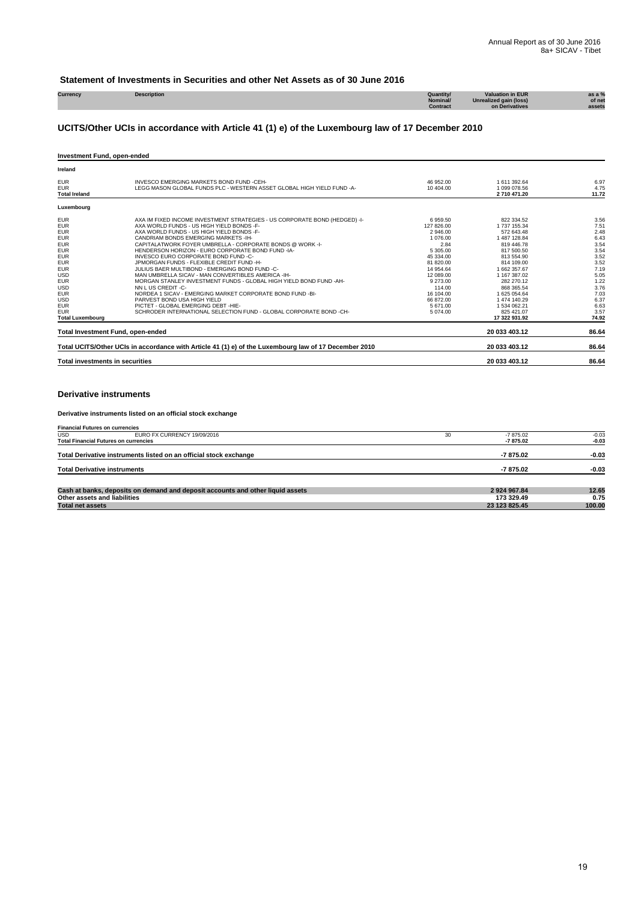## **Statement of Investments in Securities and other Net Assets as of 30 June 2016**

| Currency | cription | Quantity/       | on in EUR               |        |
|----------|----------|-----------------|-------------------------|--------|
|          |          | Nominal/        | alized gain (loss)      | of net |
|          |          | <b>Contract</b> | <b>erivatives</b><br>nn | assets |
|          |          |                 |                         |        |

## **UCITS/Other UCIs in accordance with Article 41 (1) e) of the Luxembourg law of 17 December 2010**

#### **Investment Fund, open-ended**

| Ireland                                                                                                                                                                                                                                                 |                                                                                                                                                                                                                                                                                                                                                                                                                                                                                                                                                                                                                                                                                                                                                                                                                                    |                                                                                                                                                                                               |                                                                                                                                                                                                                                                            |                                                                                                                                       |
|---------------------------------------------------------------------------------------------------------------------------------------------------------------------------------------------------------------------------------------------------------|------------------------------------------------------------------------------------------------------------------------------------------------------------------------------------------------------------------------------------------------------------------------------------------------------------------------------------------------------------------------------------------------------------------------------------------------------------------------------------------------------------------------------------------------------------------------------------------------------------------------------------------------------------------------------------------------------------------------------------------------------------------------------------------------------------------------------------|-----------------------------------------------------------------------------------------------------------------------------------------------------------------------------------------------|------------------------------------------------------------------------------------------------------------------------------------------------------------------------------------------------------------------------------------------------------------|---------------------------------------------------------------------------------------------------------------------------------------|
| <b>EUR</b><br><b>EUR</b><br><b>Total Ireland</b>                                                                                                                                                                                                        | INVESCO EMERGING MARKETS BOND FUND -CEH-<br>LEGG MASON GLOBAL FUNDS PLC - WESTERN ASSET GLOBAL HIGH YIELD FUND -A-                                                                                                                                                                                                                                                                                                                                                                                                                                                                                                                                                                                                                                                                                                                 | 46 952.00<br>10 404.00                                                                                                                                                                        | 1 611 392.64<br>1 099 078.56<br>2710 471.20                                                                                                                                                                                                                | 6.97<br>4.75<br>11.72                                                                                                                 |
| Luxembourg                                                                                                                                                                                                                                              |                                                                                                                                                                                                                                                                                                                                                                                                                                                                                                                                                                                                                                                                                                                                                                                                                                    |                                                                                                                                                                                               |                                                                                                                                                                                                                                                            |                                                                                                                                       |
| <b>EUR</b><br><b>EUR</b><br><b>EUR</b><br><b>EUR</b><br><b>EUR</b><br><b>EUR</b><br><b>EUR</b><br><b>EUR</b><br><b>EUR</b><br><b>USD</b><br><b>EUR</b><br><b>USD</b><br><b>EUR</b><br><b>USD</b><br><b>EUR</b><br><b>EUR</b><br><b>Total Luxembourg</b> | AXA IM FIXED INCOME INVESTMENT STRATEGIES - US CORPORATE BOND (HEDGED) -I-<br>AXA WORLD FUNDS - US HIGH YIELD BONDS -F-<br>AXA WORLD FUNDS - US HIGH YIELD BONDS -F-<br>CANDRIAM BONDS EMERGING MARKETS - IH-<br>CAPITALATWORK FOYER UMBRELLA - CORPORATE BONDS @ WORK -I-<br>HENDERSON HORIZON - EURO CORPORATE BOND FUND -IA-<br>INVESCO EURO CORPORATE BOND FUND -C-<br>JPMORGAN FUNDS - FLEXIBLE CREDIT FUND -H-<br>JULIUS BAER MULTIBOND - EMERGING BOND FUND -C-<br>MAN UMBRELLA SICAV - MAN CONVERTIBLES AMERICA - IH-<br>MORGAN STANLEY INVESTMENT FUNDS - GLOBAL HIGH YIELD BOND FUND -AH-<br>NN L US CREDIT -C-<br>NORDEA 1 SICAV - EMERGING MARKET CORPORATE BOND FUND -BI-<br>PARVEST BOND USA HIGH YIELD<br>PICTET - GLOBAL EMERGING DEBT -HIE-<br>SCHRODER INTERNATIONAL SELECTION FUND - GLOBAL CORPORATE BOND -CH- | 6959.50<br>127 826.00<br>2 946.00<br>1 076.00<br>2.84<br>5 305.00<br>45 334.00<br>81 820.00<br>14 954.64<br>12 089.00<br>9 273.00<br>114.00<br>16 104.00<br>66 872.00<br>5 671.00<br>5 074.00 | 822 334.52<br>1 737 155.34<br>572 643.48<br>1 487 128.84<br>819 446.78<br>817 500.50<br>813 554.90<br>814 109.00<br>1 662 357.67<br>1 167 387.02<br>282 270.12<br>868 365.54<br>1 625 054.64<br>1474 140.29<br>1 534 062.21<br>825 421.07<br>17 322 931.92 | 3.56<br>7.51<br>2.48<br>6.43<br>3.54<br>3.54<br>3.52<br>3.52<br>7.19<br>5.05<br>1.22<br>3.76<br>7.03<br>6.37<br>6.63<br>3.57<br>74.92 |
| <b>Total Investment Fund, open-ended</b>                                                                                                                                                                                                                |                                                                                                                                                                                                                                                                                                                                                                                                                                                                                                                                                                                                                                                                                                                                                                                                                                    |                                                                                                                                                                                               | 20 033 403.12                                                                                                                                                                                                                                              | 86.64                                                                                                                                 |
|                                                                                                                                                                                                                                                         | Total UCITS/Other UCIs in accordance with Article 41 (1) e) of the Luxembourg law of 17 December 2010                                                                                                                                                                                                                                                                                                                                                                                                                                                                                                                                                                                                                                                                                                                              |                                                                                                                                                                                               | 20 033 403.12                                                                                                                                                                                                                                              | 86.64                                                                                                                                 |
| <b>Total investments in securities</b>                                                                                                                                                                                                                  |                                                                                                                                                                                                                                                                                                                                                                                                                                                                                                                                                                                                                                                                                                                                                                                                                                    |                                                                                                                                                                                               | 20 033 403.12                                                                                                                                                                                                                                              | 86.64                                                                                                                                 |

### **Derivative instruments**

#### **Derivative instruments listed on an official stock exchange**

| <b>Financial Futures on currencies</b> |                                                                                |    |               |         |
|----------------------------------------|--------------------------------------------------------------------------------|----|---------------|---------|
| <b>USD</b>                             | EURO FX CURRENCY 19/09/2016                                                    | 30 | $-7875.02$    | $-0.03$ |
|                                        | <b>Total Financial Futures on currencies</b>                                   |    | -7875.02      | $-0.03$ |
|                                        | Total Derivative instruments listed on an official stock exchange              |    | -7875.02      | $-0.03$ |
| <b>Total Derivative instruments</b>    |                                                                                |    | $-7875.02$    | $-0.03$ |
|                                        | Cash at banks, deposits on demand and deposit accounts and other liquid assets |    | 2924967.84    | 12.65   |
| Other assets and liabilities           |                                                                                |    | 173 329.49    | 0.75    |
| <b>Total net assets</b>                |                                                                                |    | 23 123 825.45 | 100.00  |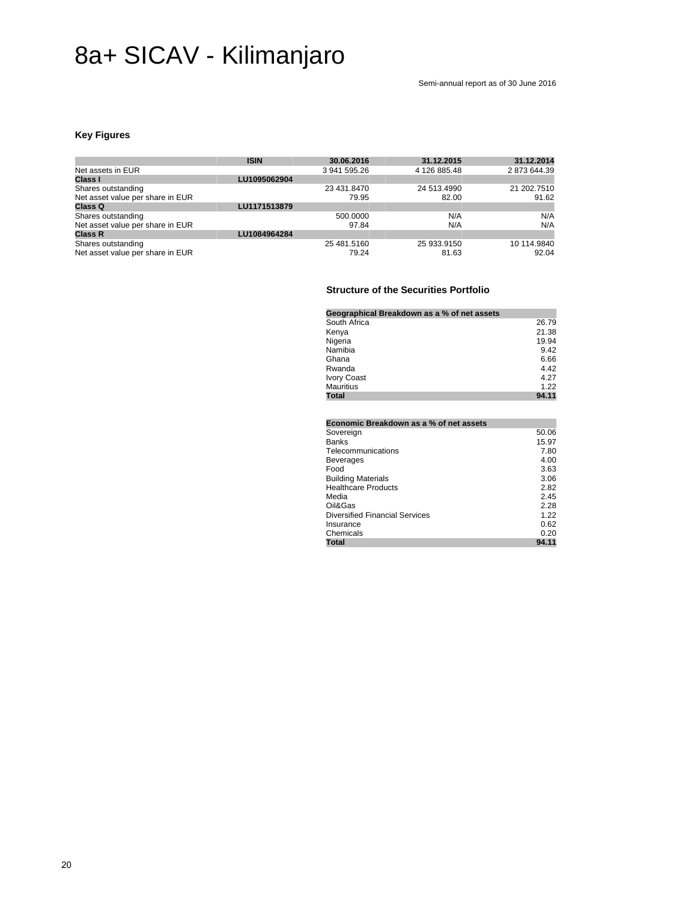# 8a+ SICAV - Kilimanjaro

Semi-annual report as of 30 June 2016

## **Key Figures**

|                                  | <b>ISIN</b>  | 30.06.2016   | 31.12.2015   | 31.12.2014   |
|----------------------------------|--------------|--------------|--------------|--------------|
| Net assets in EUR                |              | 3 941 595.26 | 4 126 885.48 | 2 873 644.39 |
| Class I                          | LU1095062904 |              |              |              |
| Shares outstanding               |              | 23 431.8470  | 24 513.4990  | 21 202.7510  |
| Net asset value per share in EUR |              | 79.95        | 82.00        | 91.62        |
| Class Q                          | LU1171513879 |              |              |              |
| Shares outstanding               |              | 500,0000     | N/A          | N/A          |
| Net asset value per share in EUR |              | 97.84        | N/A          | N/A          |
| <b>Class R</b>                   | LU1084964284 |              |              |              |
| Shares outstanding               |              | 25 481.5160  | 25 933.9150  | 10 114.9840  |
| Net asset value per share in EUR |              | 79.24        | 81.63        | 92.04        |

## **Structure of the Securities Portfolio**

| Geographical Breakdown as a % of net assets |       |
|---------------------------------------------|-------|
| South Africa                                | 26.79 |
| Kenya                                       | 21.38 |
| Nigeria                                     | 19.94 |
| Namibia                                     | 9.42  |
| Ghana                                       | 6.66  |
| Rwanda                                      | 4.42  |
| Ivory Coast                                 | 4.27  |
| Mauritius                                   | 1.22  |
| Total                                       | 94.11 |

| Economic Breakdown as a % of net assets |       |
|-----------------------------------------|-------|
| Sovereign                               | 50.06 |
| <b>Banks</b>                            | 15.97 |
| Telecommunications                      | 7.80  |
| Beverages                               | 4.00  |
| Food                                    | 3.63  |
| <b>Building Materials</b>               | 3.06  |
| <b>Healthcare Products</b>              | 2.82  |
| Media                                   | 2.45  |
| Oil&Gas                                 | 2.28  |
| <b>Diversified Financial Services</b>   | 1.22  |
| Insurance                               | 0.62  |
| Chemicals                               | 0.20  |
| <b>Total</b>                            | 94.11 |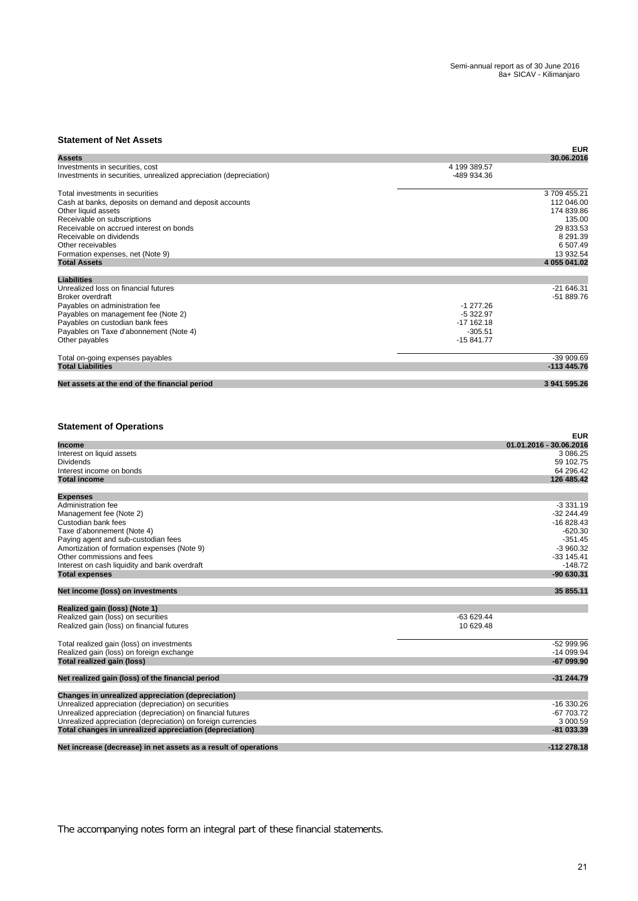## **Statement of Net Assets**

| טנטגרווטווג טו וזטנ השטט                                                                             |                             | <b>EUR</b>              |
|------------------------------------------------------------------------------------------------------|-----------------------------|-------------------------|
| Assets                                                                                               |                             | 30.06.2016              |
| Investments in securities, cost<br>Investments in securities, unrealized appreciation (depreciation) | 4 199 389.57<br>-489 934.36 |                         |
| Total investments in securities                                                                      |                             | 3709455.21              |
| Cash at banks, deposits on demand and deposit accounts                                               |                             | 112 046.00              |
| Other liquid assets                                                                                  |                             | 174 839.86              |
| Receivable on subscriptions                                                                          |                             | 135.00                  |
| Receivable on accrued interest on bonds                                                              |                             | 29 833.53               |
| Receivable on dividends                                                                              |                             | 8 291.39                |
| Other receivables                                                                                    |                             | 6 507.49                |
| Formation expenses, net (Note 9)                                                                     |                             | 13 932.54               |
| <b>Total Assets</b>                                                                                  |                             | 4 055 041.02            |
| <b>Liabilities</b>                                                                                   |                             |                         |
| Unrealized loss on financial futures                                                                 |                             | -21 646.31              |
| Broker overdraft                                                                                     |                             | -51 889.76              |
| Payables on administration fee                                                                       | $-1277.26$                  |                         |
| Payables on management fee (Note 2)                                                                  | $-5322.97$                  |                         |
| Payables on custodian bank fees                                                                      | -17 162.18                  |                         |
| Payables on Taxe d'abonnement (Note 4)                                                               | $-305.51$                   |                         |
| Other payables                                                                                       | -15 841.77                  |                         |
| Total on-going expenses payables                                                                     |                             | -39 909.69              |
| <b>Total Liabilities</b>                                                                             |                             | -113 445.76             |
| Net assets at the end of the financial period                                                        |                             | 3 941 595.26            |
| <b>Statement of Operations</b>                                                                       |                             | <b>EUR</b>              |
| <b>Income</b>                                                                                        |                             | 01.01.2016 - 30.06.2016 |
| Interest on liquid assets                                                                            |                             | 3 086.25                |
| Dividends                                                                                            |                             | 59 102.75               |
| Interest income on bonds                                                                             |                             | 64 296.42               |
| <b>Total income</b>                                                                                  |                             | 126 485.42              |
| <b>Expenses</b>                                                                                      |                             |                         |
| Administration fee                                                                                   |                             | $-3331.19$              |
| Management fee (Note 2)                                                                              |                             | $-32244.49$             |
| Custodian bank fees                                                                                  |                             | -16 828.43              |
| Taxe d'abonnement (Note 4)                                                                           |                             | $-620.30$               |
| Paying agent and sub-custodian fees                                                                  |                             | $-351.45$               |
| Amortization of formation expenses (Note 9)                                                          |                             | $-3960.32$              |
| Other commissions and fees                                                                           |                             | $-33$ 145.41            |
| Interest on cash liquidity and bank overdraft                                                        |                             | $-148.72$               |
| <b>Total expenses</b>                                                                                |                             | -90 630.31              |
| Net income (loss) on investments                                                                     |                             | 35 855.11               |
| Realized gain (loss) (Note 1)                                                                        |                             |                         |
| Realized gain (loss) on securities                                                                   | $-63629.44$                 |                         |
| Realized gain (loss) on financial futures                                                            | 10 629.48                   |                         |
| Total realized gain (loss) on investments                                                            |                             | -52 999.96              |
| Realized gain (loss) on foreign exchange                                                             |                             | $-14099.94$             |
| Total realized gain (loss)                                                                           |                             | -67 099.90              |
| Net realized gain (loss) of the financial period                                                     |                             | $-31244.79$             |
| Changes in unrealized appreciation (depreciation)                                                    |                             |                         |
| Unrealized appreciation (depreciation) on securities                                                 |                             | $-16330.26$             |
| Unrealized appreciation (depreciation) on financial futures                                          |                             | -67 703.72              |
| Unrealized appreciation (depreciation) on foreign currencies                                         |                             | 3 000.59                |
| Total changes in unrealized appreciation (depreciation)                                              |                             | -81 033.39              |
|                                                                                                      |                             |                         |
| Net increase (decrease) in net assets as a result of operations                                      |                             | $-112278.18$            |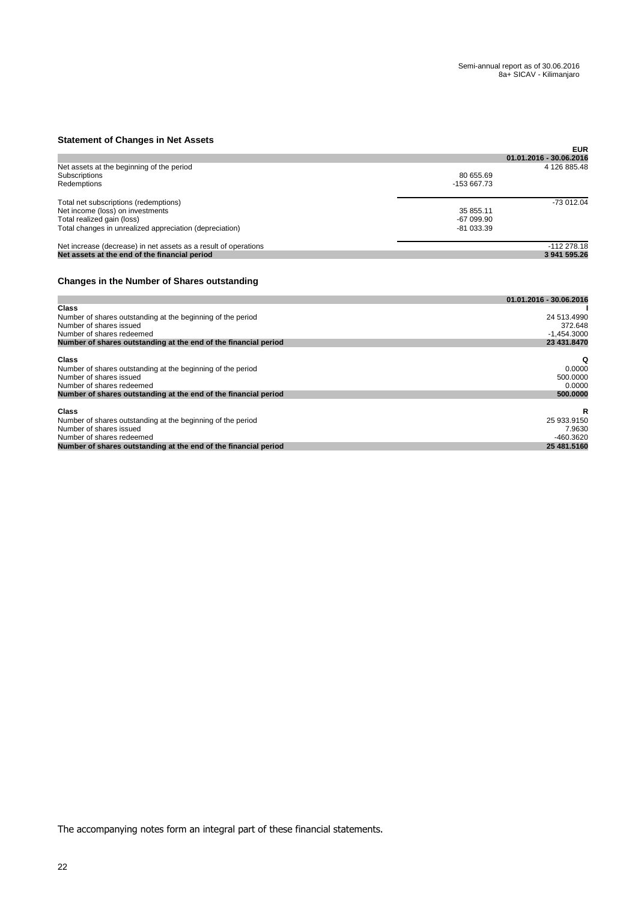## **Statement of Changes in Net Assets**

| <b>UNIVERSITY OF UNIVERSITY AND ASSOCI</b> ST                   |             |                         |
|-----------------------------------------------------------------|-------------|-------------------------|
|                                                                 |             | <b>EUR</b>              |
|                                                                 |             | 01.01.2016 - 30.06.2016 |
| Net assets at the beginning of the period                       |             | 4 126 885.48            |
| Subscriptions                                                   | 80 655.69   |                         |
| Redemptions                                                     | -153 667.73 |                         |
| Total net subscriptions (redemptions)                           |             | -73 012.04              |
| Net income (loss) on investments                                | 35 855.11   |                         |
| Total realized gain (loss)                                      | $-67099.90$ |                         |
| Total changes in unrealized appreciation (depreciation)         | $-81033.39$ |                         |
| Net increase (decrease) in net assets as a result of operations |             | $-112278.18$            |
| Net assets at the end of the financial period                   |             | 3 941 595.26            |

## **Changes in the Number of Shares outstanding**

|                                                                 | 01.01.2016 - 30.06.2016 |
|-----------------------------------------------------------------|-------------------------|
| <b>Class</b>                                                    |                         |
| Number of shares outstanding at the beginning of the period     | 24 513.4990             |
| Number of shares issued                                         | 372.648                 |
| Number of shares redeemed                                       | $-1.454.3000$           |
| Number of shares outstanding at the end of the financial period | 23 431.8470             |
| <b>Class</b>                                                    | Q                       |
| Number of shares outstanding at the beginning of the period     | 0.0000                  |
| Number of shares issued                                         | 500.0000                |
| Number of shares redeemed                                       | 0.0000                  |
| Number of shares outstanding at the end of the financial period | 500,0000                |
| <b>Class</b>                                                    | R                       |
| Number of shares outstanding at the beginning of the period     | 25 933.9150             |
| Number of shares issued                                         | 7.9630                  |
| Number of shares redeemed                                       | $-460.3620$             |
| Number of shares outstanding at the end of the financial period | 25 481.5160             |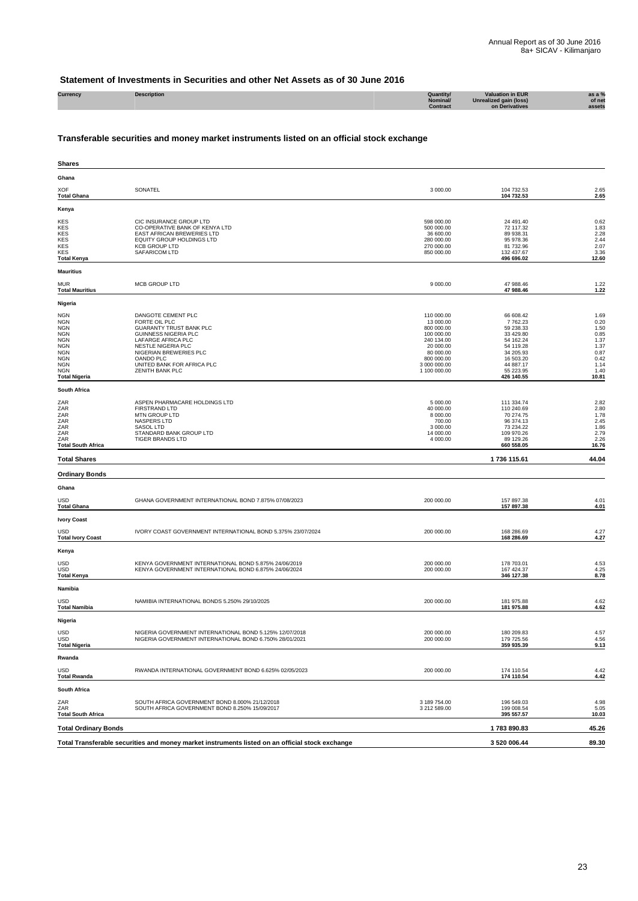## **Statement of Investments in Securities and other Net Assets as of 30 June 2016**

| Currency | <b>Description</b> | Quantity/       | <b>Valuation in EUR</b> | as a $%$         |
|----------|--------------------|-----------------|-------------------------|------------------|
|          |                    | <b>Nominal</b>  | Unrealized gain (loss)  | of net<br>assets |
|          |                    | <b>Contract</b> | on Derivatives          |                  |
|          |                    |                 |                         |                  |

## **Transferable securities and money market instruments listed on an official stock exchange**

| Shares                                                                                                                                             |                                                                                                                                                                                                                                                 |                                                                                                                                           |                                                                                                                                            |                                                                                       |
|----------------------------------------------------------------------------------------------------------------------------------------------------|-------------------------------------------------------------------------------------------------------------------------------------------------------------------------------------------------------------------------------------------------|-------------------------------------------------------------------------------------------------------------------------------------------|--------------------------------------------------------------------------------------------------------------------------------------------|---------------------------------------------------------------------------------------|
| Ghana                                                                                                                                              |                                                                                                                                                                                                                                                 |                                                                                                                                           |                                                                                                                                            |                                                                                       |
| <b>XOF</b><br><b>Total Ghana</b>                                                                                                                   | SONATEL                                                                                                                                                                                                                                         | 3 000.00                                                                                                                                  | 104 732.53<br>104 732.53                                                                                                                   | 2.65<br>2.65                                                                          |
| Kenya                                                                                                                                              |                                                                                                                                                                                                                                                 |                                                                                                                                           |                                                                                                                                            |                                                                                       |
| KES<br><b>KES</b><br>KES<br>KES<br>KES<br><b>KES</b><br><b>Total Kenya</b>                                                                         | CIC INSURANCE GROUP LTD<br>CO-OPERATIVE BANK OF KENYA LTD<br>EAST AFRICAN BREWERIES LTD<br>EQUITY GROUP HOLDINGS LTD<br><b>KCB GROUP LTD</b><br>SAFARICOM LTD                                                                                   | 598 000.00<br>500 000.00<br>36 600.00<br>280 000.00<br>270 000.00<br>850 000.00                                                           | 24 491.40<br>72 117.32<br>89 938.31<br>95 978.36<br>81 732.96<br>132 437.67<br>496 696.02                                                  | 0.62<br>1.83<br>2.28<br>2.44<br>2.07<br>3.36<br>12.60                                 |
| <b>Mauritius</b>                                                                                                                                   |                                                                                                                                                                                                                                                 |                                                                                                                                           |                                                                                                                                            |                                                                                       |
| <b>MUR</b><br><b>Total Mauritius</b>                                                                                                               | <b>MCB GROUP LTD</b>                                                                                                                                                                                                                            | 9 000.00                                                                                                                                  | 47 988.46<br>47 988.46                                                                                                                     | 1.22<br>1.22                                                                          |
| Nigeria                                                                                                                                            |                                                                                                                                                                                                                                                 |                                                                                                                                           |                                                                                                                                            |                                                                                       |
| <b>NGN</b><br>NGN<br><b>NGN</b><br><b>NGN</b><br><b>NGN</b><br><b>NGN</b><br>NGN<br><b>NGN</b><br><b>NGN</b><br><b>NGN</b><br><b>Total Nigeria</b> | DANGOTE CEMENT PLC<br>FORTE OIL PLC<br><b>GUARANTY TRUST BANK PLC</b><br><b>GUINNESS NIGERIA PLC</b><br>LAFARGE AFRICA PLC<br>NESTLE NIGERIA PLC<br>NIGERIAN BREWERIES PLC<br>OANDO PLC<br>UNITED BANK FOR AFRICA PLC<br><b>ZENITH BANK PLC</b> | 110 000.00<br>13 000.00<br>800 000.00<br>100 000.00<br>240 134.00<br>20 000.00<br>80 000.00<br>800 000.00<br>3 000 000.00<br>1 100 000.00 | 66 608.42<br>7762.23<br>59 238.33<br>33 429.80<br>54 162.24<br>54 119.28<br>34 205.93<br>16 503.20<br>44 887.17<br>55 223.95<br>426 140.55 | 1.69<br>0.20<br>1.50<br>0.85<br>1.37<br>1.37<br>0.87<br>0.42<br>1.14<br>1.40<br>10.81 |
| South Africa                                                                                                                                       |                                                                                                                                                                                                                                                 |                                                                                                                                           |                                                                                                                                            |                                                                                       |
| ZAR<br>ZAR<br>ZAR<br>ZAR<br>ZAR<br>ZAR<br>ZAR<br><b>Total South Africa</b>                                                                         | ASPEN PHARMACARE HOLDINGS LTD<br><b>FIRSTRAND LTD</b><br>MTN GROUP LTD<br>NASPERS LTD<br><b>SASOL LTD</b><br>STANDARD BANK GROUP LTD<br><b>TIGER BRANDS LTD</b>                                                                                 | 5 000.00<br>40 000.00<br>8 000.00<br>700.00<br>3 000.00<br>14 000.00<br>4 000.00                                                          | 111 334.74<br>110 240.69<br>70 274.75<br>96 374.13<br>73 234.22<br>109 970.26<br>89 129.26<br>660 558.05                                   | 2.82<br>2.80<br>1.78<br>2.45<br>1.86<br>2.79<br>2.26<br>16.76                         |
| <b>Total Shares</b>                                                                                                                                |                                                                                                                                                                                                                                                 |                                                                                                                                           | 1736 115.61                                                                                                                                | 44.04                                                                                 |
| <b>Ordinary Bonds</b>                                                                                                                              |                                                                                                                                                                                                                                                 |                                                                                                                                           |                                                                                                                                            |                                                                                       |
| Ghana                                                                                                                                              |                                                                                                                                                                                                                                                 |                                                                                                                                           |                                                                                                                                            |                                                                                       |
| USD<br><b>Total Ghana</b>                                                                                                                          | GHANA GOVERNMENT INTERNATIONAL BOND 7.875% 07/08/2023                                                                                                                                                                                           | 200 000.00                                                                                                                                | 157 897.38<br>157 897.38                                                                                                                   | 4.01<br>4.01                                                                          |
| <b>Ivory Coast</b>                                                                                                                                 |                                                                                                                                                                                                                                                 |                                                                                                                                           |                                                                                                                                            |                                                                                       |
| <b>USD</b><br><b>Total Ivory Coast</b>                                                                                                             | IVORY COAST GOVERNMENT INTERNATIONAL BOND 5.375% 23/07/2024                                                                                                                                                                                     | 200 000.00                                                                                                                                | 168 286.69<br>168 286.69                                                                                                                   | 4.27<br>4.27                                                                          |
| Kenya                                                                                                                                              |                                                                                                                                                                                                                                                 |                                                                                                                                           |                                                                                                                                            |                                                                                       |
| USD<br>USD<br><b>Total Kenya</b>                                                                                                                   | KENYA GOVERNMENT INTERNATIONAL BOND 5.875% 24/06/2019<br>KENYA GOVERNMENT INTERNATIONAL BOND 6.875% 24/06/2024                                                                                                                                  | 200 000.00<br>200 000.00                                                                                                                  | 178 703.01<br>167 424.37<br>346 127.38                                                                                                     | 4.53<br>4.25<br>8.78                                                                  |
| Namibia                                                                                                                                            |                                                                                                                                                                                                                                                 |                                                                                                                                           |                                                                                                                                            |                                                                                       |
| USD<br><b>Total Namibia</b>                                                                                                                        | NAMIBIA INTERNATIONAL BONDS 5.250% 29/10/2025                                                                                                                                                                                                   | 200 000.00                                                                                                                                | 181 975.88<br>181 975.88                                                                                                                   | 4.62<br>4.62                                                                          |
| Nigeria                                                                                                                                            |                                                                                                                                                                                                                                                 |                                                                                                                                           |                                                                                                                                            |                                                                                       |
| <b>USD</b><br>USD<br><b>Total Nigeria</b>                                                                                                          | NIGERIA GOVERNMENT INTERNATIONAL BOND 5.125% 12/07/2018<br>NIGERIA GOVERNMENT INTERNATIONAL BOND 6.750% 28/01/2021                                                                                                                              | 200 000.00<br>200 000.00                                                                                                                  | 180 209.83<br>179 725.56<br>359 935.39                                                                                                     | 4.57<br>4.56<br>9.13                                                                  |
| Rwanda                                                                                                                                             |                                                                                                                                                                                                                                                 |                                                                                                                                           |                                                                                                                                            |                                                                                       |
| USD<br><b>Total Rwanda</b>                                                                                                                         | RWANDA INTERNATIONAL GOVERNMENT BOND 6.625% 02/05/2023                                                                                                                                                                                          | 200 000.00                                                                                                                                | 174 110.54<br>174 110.54                                                                                                                   | 4.42<br>4.42                                                                          |
| South Africa                                                                                                                                       |                                                                                                                                                                                                                                                 |                                                                                                                                           |                                                                                                                                            |                                                                                       |
| ZAR<br>ZAR<br><b>Total South Africa</b>                                                                                                            | SOUTH AFRICA GOVERNMENT BOND 8.000% 21/12/2018<br>SOUTH AFRICA GOVERNMENT BOND 8.250% 15/09/2017                                                                                                                                                | 3 189 754.00<br>3 212 589.00                                                                                                              | 196 549.03<br>199 008.54<br>395 557.57                                                                                                     | 4.98<br>5.05<br>10.03                                                                 |
| <b>Total Ordinary Bonds</b>                                                                                                                        |                                                                                                                                                                                                                                                 |                                                                                                                                           | 1783890.83                                                                                                                                 | 45.26                                                                                 |
|                                                                                                                                                    | Total Transferable securities and money market instruments listed on an official stock exchange                                                                                                                                                 |                                                                                                                                           | 3 520 006.44                                                                                                                               | 89.30                                                                                 |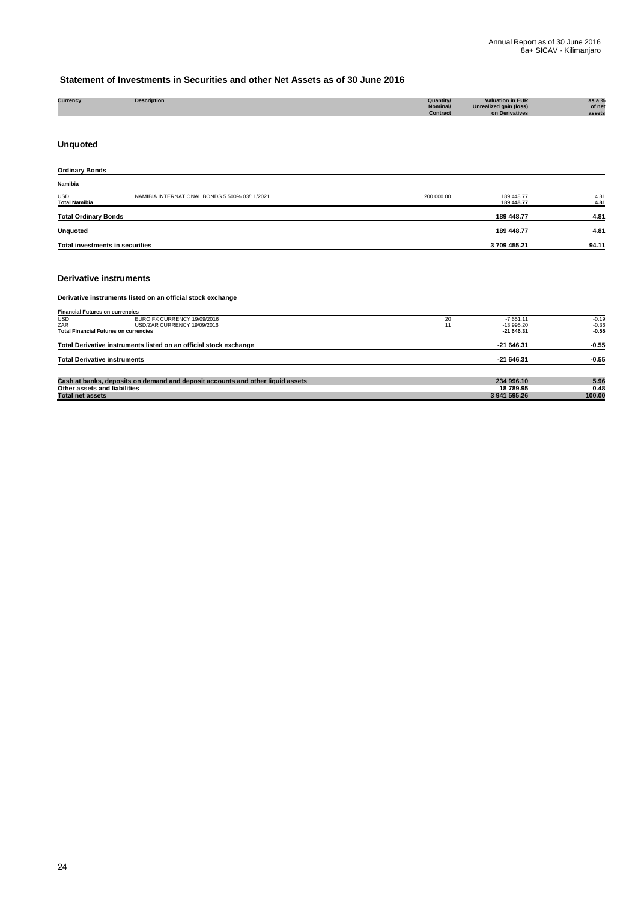## **Statement of Investments in Securities and other Net Assets as of 30 June 2016**

| Currency | <b>Description</b> |  | Quantity/<br>Nominal/<br>Contract | <b>Valuation in EUR</b><br>Unrealized gain (loss)<br>on Derivatives | as a $%$<br>of net<br>assets |
|----------|--------------------|--|-----------------------------------|---------------------------------------------------------------------|------------------------------|
|          |                    |  |                                   |                                                                     |                              |

## **Unquoted**

| <b>Ordinary Bonds</b>              |                                               |            |                          |              |
|------------------------------------|-----------------------------------------------|------------|--------------------------|--------------|
| Namibia                            |                                               |            |                          |              |
| <b>USD</b><br><b>Total Namibia</b> | NAMIBIA INTERNATIONAL BONDS 5.500% 03/11/2021 | 200 000.00 | 189 448.77<br>189 448.77 | 4.81<br>4.81 |
| <b>Total Ordinary Bonds</b>        |                                               |            | 189 448.77               | 4.81         |
| <b>Unquoted</b>                    |                                               |            | 189 448.77               | 4.81         |
| Total investments in securities    |                                               | 3709455.21 | 94.11                    |              |

#### **Derivative instruments**

#### **Derivative instruments listed on an official stock exchange**

| <b>Financial Futures on currencies</b>       |                                                                                |    |              |         |
|----------------------------------------------|--------------------------------------------------------------------------------|----|--------------|---------|
| <b>USD</b>                                   | EURO FX CURRENCY 19/09/2016                                                    | 20 | $-7651.11$   | $-0.19$ |
| ZAR                                          | USD/ZAR CURRENCY 19/09/2016                                                    |    | $-13995.20$  | $-0.36$ |
| <b>Total Financial Futures on currencies</b> |                                                                                |    | $-21646.31$  | $-0.55$ |
|                                              | Total Derivative instruments listed on an official stock exchange              |    | $-21646.31$  | $-0.55$ |
| <b>Total Derivative instruments</b>          |                                                                                |    | $-21646.31$  | $-0.55$ |
|                                              |                                                                                |    |              |         |
|                                              | Cash at banks, deposits on demand and deposit accounts and other liquid assets |    | 234 996.10   | 5.96    |
| Other assets and liabilities                 |                                                                                |    | 18 789.95    | 0.48    |
| <b>Total net assets</b>                      |                                                                                |    | 3 941 595.26 | 100.00  |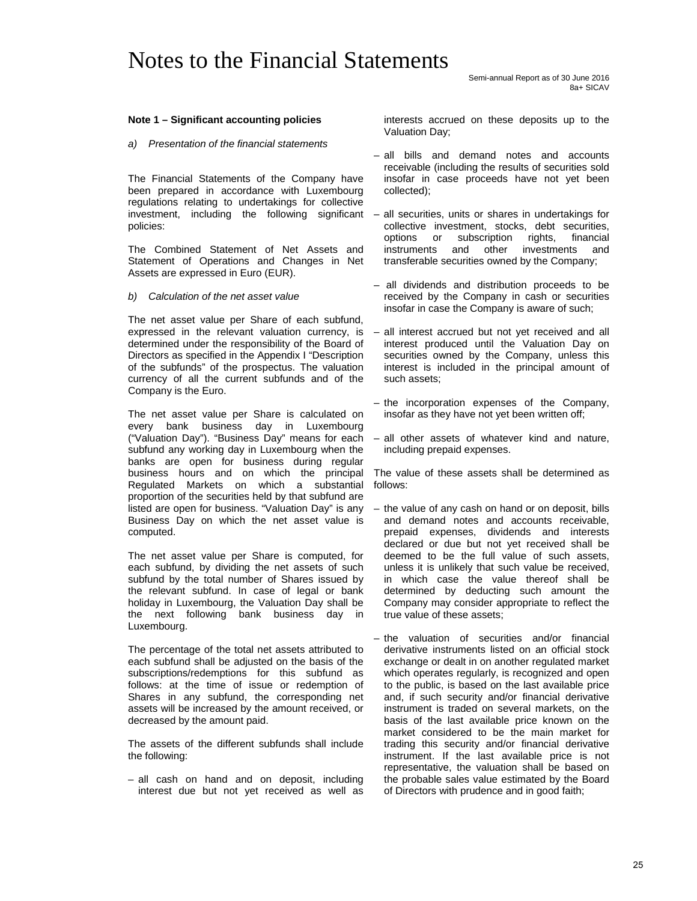## Notes to the Financial Statements

Semi-annual Report as of 30 June 2016 8a+ SICAV

#### **Note 1 – Significant accounting policies**

#### *a) Presentation of the financial statements*

The Financial Statements of the Company have been prepared in accordance with Luxembourg regulations relating to undertakings for collective investment, including the following significant policies:

The Combined Statement of Net Assets and Statement of Operations and Changes in Net Assets are expressed in Euro (EUR).

#### *b) Calculation of the net asset value*

The net asset value per Share of each subfund, expressed in the relevant valuation currency, is determined under the responsibility of the Board of Directors as specified in the Appendix I "Description of the subfunds" of the prospectus. The valuation currency of all the current subfunds and of the Company is the Euro.

The net asset value per Share is calculated on every bank business day in Luxembourg ("Valuation Day"). "Business Day" means for each subfund any working day in Luxembourg when the banks are open for business during regular business hours and on which the principal Regulated Markets on which a substantial proportion of the securities held by that subfund are listed are open for business. "Valuation Day" is any Business Day on which the net asset value is computed.

The net asset value per Share is computed, for each subfund, by dividing the net assets of such subfund by the total number of Shares issued by the relevant subfund. In case of legal or bank holiday in Luxembourg, the Valuation Day shall be the next following bank business day in Luxembourg.

The percentage of the total net assets attributed to each subfund shall be adjusted on the basis of the subscriptions/redemptions for this subfund as follows: at the time of issue or redemption of Shares in any subfund, the corresponding net assets will be increased by the amount received, or decreased by the amount paid.

The assets of the different subfunds shall include the following:

– all cash on hand and on deposit, including interest due but not yet received as well as interests accrued on these deposits up to the Valuation Day;

- all bills and demand notes and accounts receivable (including the results of securities sold insofar in case proceeds have not yet been collected);
- all securities, units or shares in undertakings for collective investment, stocks, debt securities, options or subscription rights, financial instruments and other investments and transferable securities owned by the Company;
- all dividends and distribution proceeds to be received by the Company in cash or securities insofar in case the Company is aware of such;
- all interest accrued but not yet received and all interest produced until the Valuation Day on securities owned by the Company, unless this interest is included in the principal amount of such assets;
- the incorporation expenses of the Company, insofar as they have not yet been written off;
- all other assets of whatever kind and nature, including prepaid expenses.

The value of these assets shall be determined as follows:

- the value of any cash on hand or on deposit, bills and demand notes and accounts receivable, prepaid expenses, dividends and interests declared or due but not yet received shall be deemed to be the full value of such assets, unless it is unlikely that such value be received, in which case the value thereof shall be determined by deducting such amount the Company may consider appropriate to reflect the true value of these assets;
- the valuation of securities and/or financial derivative instruments listed on an official stock exchange or dealt in on another regulated market which operates regularly, is recognized and open to the public, is based on the last available price and, if such security and/or financial derivative instrument is traded on several markets, on the basis of the last available price known on the market considered to be the main market for trading this security and/or financial derivative instrument. If the last available price is not representative, the valuation shall be based on the probable sales value estimated by the Board of Directors with prudence and in good faith;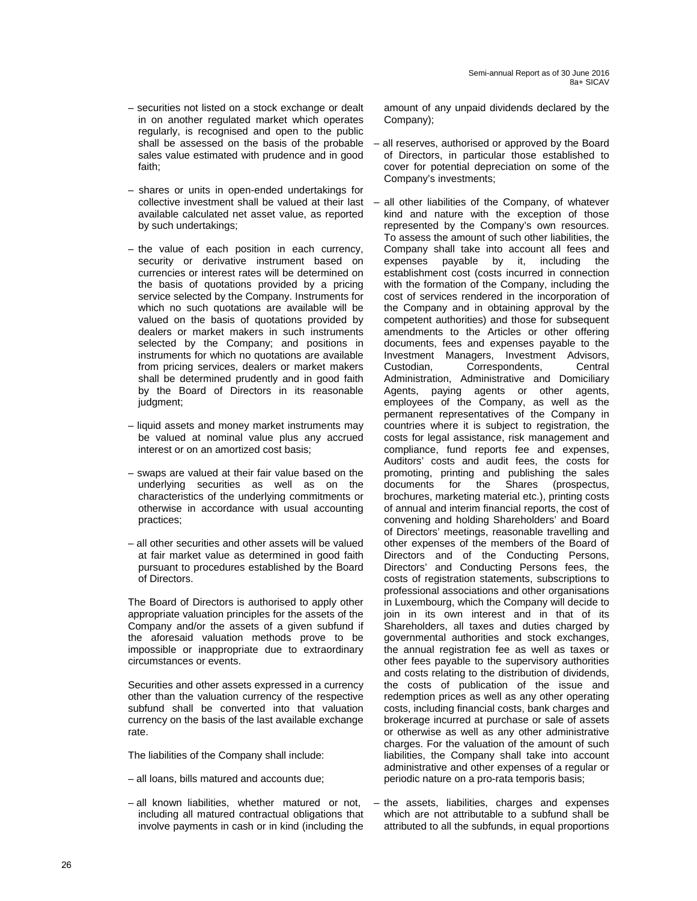- securities not listed on a stock exchange or dealt in on another regulated market which operates regularly, is recognised and open to the public shall be assessed on the basis of the probable sales value estimated with prudence and in good faith;
- shares or units in open-ended undertakings for collective investment shall be valued at their last available calculated net asset value, as reported by such undertakings;
- the value of each position in each currency, security or derivative instrument based on currencies or interest rates will be determined on the basis of quotations provided by a pricing service selected by the Company. Instruments for which no such quotations are available will be valued on the basis of quotations provided by dealers or market makers in such instruments selected by the Company; and positions in instruments for which no quotations are available from pricing services, dealers or market makers shall be determined prudently and in good faith by the Board of Directors in its reasonable judgment;
- liquid assets and money market instruments may be valued at nominal value plus any accrued interest or on an amortized cost basis;
- swaps are valued at their fair value based on the underlying securities as well as on the characteristics of the underlying commitments or otherwise in accordance with usual accounting practices;
- all other securities and other assets will be valued at fair market value as determined in good faith pursuant to procedures established by the Board of Directors.

The Board of Directors is authorised to apply other appropriate valuation principles for the assets of the Company and/or the assets of a given subfund if the aforesaid valuation methods prove to be impossible or inappropriate due to extraordinary circumstances or events.

Securities and other assets expressed in a currency other than the valuation currency of the respective subfund shall be converted into that valuation currency on the basis of the last available exchange rate.

The liabilities of the Company shall include:

- all loans, bills matured and accounts due;
- all known liabilities, whether matured or not, including all matured contractual obligations that involve payments in cash or in kind (including the

amount of any unpaid dividends declared by the Company);

– all reserves, authorised or approved by the Board of Directors, in particular those established to cover for potential depreciation on some of the Company's investments;

– all other liabilities of the Company, of whatever kind and nature with the exception of those represented by the Company's own resources. To assess the amount of such other liabilities, the Company shall take into account all fees and expenses payable by it, including the establishment cost (costs incurred in connection with the formation of the Company, including the cost of services rendered in the incorporation of the Company and in obtaining approval by the competent authorities) and those for subsequent amendments to the Articles or other offering documents, fees and expenses payable to the Investment Managers, Investment Advisors, Custodian, Correspondents, Central Administration, Administrative and Domiciliary Agents, paying agents or other agents, employees of the Company, as well as the permanent representatives of the Company in countries where it is subject to registration, the costs for legal assistance, risk management and compliance, fund reports fee and expenses, Auditors' costs and audit fees, the costs for promoting, printing and publishing the sales documents for the Shares (prospectus, brochures, marketing material etc.), printing costs of annual and interim financial reports, the cost of convening and holding Shareholders' and Board of Directors' meetings, reasonable travelling and other expenses of the members of the Board of Directors and of the Conducting Persons, Directors' and Conducting Persons fees, the costs of registration statements, subscriptions to professional associations and other organisations in Luxembourg, which the Company will decide to join in its own interest and in that of its Shareholders, all taxes and duties charged by governmental authorities and stock exchanges, the annual registration fee as well as taxes or other fees payable to the supervisory authorities and costs relating to the distribution of dividends, the costs of publication of the issue and redemption prices as well as any other operating costs, including financial costs, bank charges and brokerage incurred at purchase or sale of assets or otherwise as well as any other administrative charges. For the valuation of the amount of such liabilities, the Company shall take into account administrative and other expenses of a regular or periodic nature on a pro-rata temporis basis;

– the assets, liabilities, charges and expenses which are not attributable to a subfund shall be attributed to all the subfunds, in equal proportions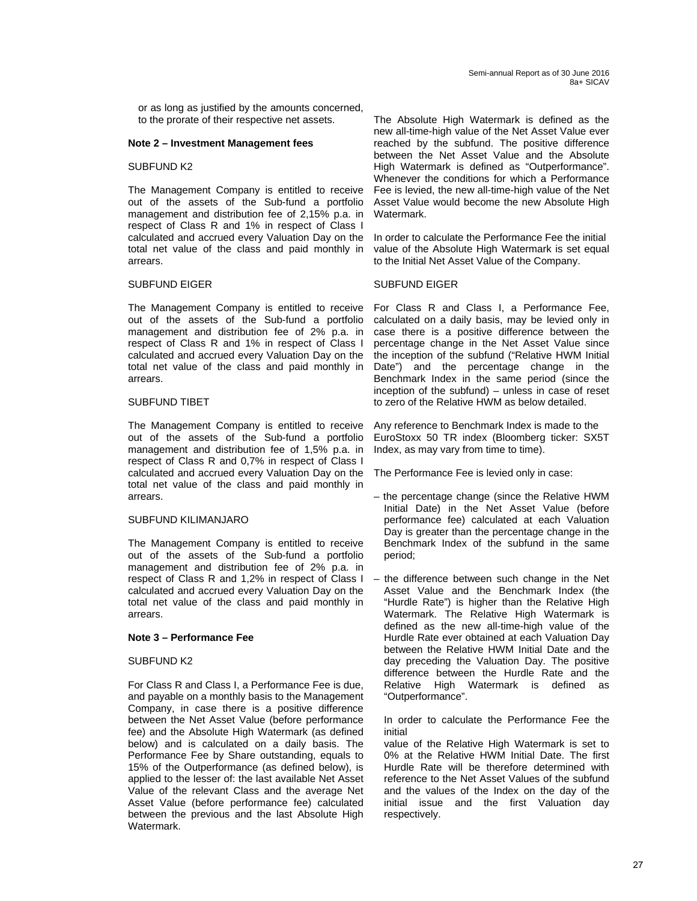or as long as justified by the amounts concerned, to the prorate of their respective net assets.

#### **Note 2 – Investment Management fees**

#### SUBFUND K2

The Management Company is entitled to receive out of the assets of the Sub-fund a portfolio management and distribution fee of 2,15% p.a. in respect of Class R and 1% in respect of Class I calculated and accrued every Valuation Day on the total net value of the class and paid monthly in arrears.

#### SUBFUND EIGER

The Management Company is entitled to receive out of the assets of the Sub-fund a portfolio management and distribution fee of 2% p.a. in respect of Class R and 1% in respect of Class I calculated and accrued every Valuation Day on the total net value of the class and paid monthly in arrears.

#### SUBFUND TIBET

The Management Company is entitled to receive out of the assets of the Sub-fund a portfolio management and distribution fee of 1,5% p.a. in respect of Class R and 0,7% in respect of Class I calculated and accrued every Valuation Day on the total net value of the class and paid monthly in arrears.

### SUBFUND KILIMANJARO

The Management Company is entitled to receive out of the assets of the Sub-fund a portfolio management and distribution fee of 2% p.a. in respect of Class R and 1,2% in respect of Class I calculated and accrued every Valuation Day on the total net value of the class and paid monthly in arrears.

#### **Note 3 – Performance Fee**

#### SUBFUND K2

For Class R and Class I, a Performance Fee is due, and payable on a monthly basis to the Management Company, in case there is a positive difference between the Net Asset Value (before performance fee) and the Absolute High Watermark (as defined below) and is calculated on a daily basis. The Performance Fee by Share outstanding, equals to 15% of the Outperformance (as defined below), is applied to the lesser of: the last available Net Asset Value of the relevant Class and the average Net Asset Value (before performance fee) calculated between the previous and the last Absolute High Watermark.

The Absolute High Watermark is defined as the new all-time-high value of the Net Asset Value ever reached by the subfund. The positive difference between the Net Asset Value and the Absolute High Watermark is defined as "Outperformance". Whenever the conditions for which a Performance Fee is levied, the new all-time-high value of the Net Asset Value would become the new Absolute High Watermark.

In order to calculate the Performance Fee the initial value of the Absolute High Watermark is set equal to the Initial Net Asset Value of the Company.

#### SUBFUND EIGER

For Class R and Class I, a Performance Fee, calculated on a daily basis, may be levied only in case there is a positive difference between the percentage change in the Net Asset Value since the inception of the subfund ("Relative HWM Initial Date") and the percentage change in the Benchmark Index in the same period (since the inception of the subfund) – unless in case of reset to zero of the Relative HWM as below detailed.

Any reference to Benchmark Index is made to the EuroStoxx 50 TR index (Bloomberg ticker: SX5T Index, as may vary from time to time).

The Performance Fee is levied only in case:

- the percentage change (since the Relative HWM Initial Date) in the Net Asset Value (before performance fee) calculated at each Valuation Day is greater than the percentage change in the Benchmark Index of the subfund in the same period;
- the difference between such change in the Net Asset Value and the Benchmark Index (the "Hurdle Rate") is higher than the Relative High Watermark. The Relative High Watermark is defined as the new all-time-high value of the Hurdle Rate ever obtained at each Valuation Day between the Relative HWM Initial Date and the day preceding the Valuation Day. The positive difference between the Hurdle Rate and the Relative High Watermark is defined as "Outperformance".

In order to calculate the Performance Fee the initial

value of the Relative High Watermark is set to 0% at the Relative HWM Initial Date. The first Hurdle Rate will be therefore determined with reference to the Net Asset Values of the subfund and the values of the Index on the day of the initial issue and the first Valuation day respectively.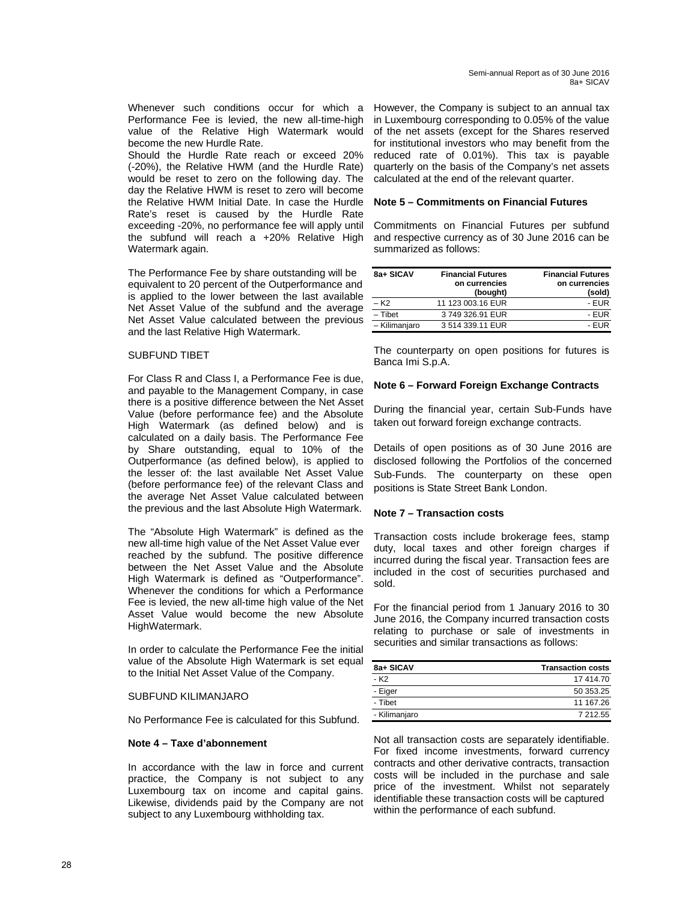Whenever such conditions occur for which a Performance Fee is levied, the new all-time-high value of the Relative High Watermark would become the new Hurdle Rate.

Should the Hurdle Rate reach or exceed 20% (-20%), the Relative HWM (and the Hurdle Rate) would be reset to zero on the following day. The day the Relative HWM is reset to zero will become the Relative HWM Initial Date. In case the Hurdle Rate's reset is caused by the Hurdle Rate exceeding -20%, no performance fee will apply until the subfund will reach a +20% Relative High Watermark again.

The Performance Fee by share outstanding will be equivalent to 20 percent of the Outperformance and is applied to the lower between the last available Net Asset Value of the subfund and the average Net Asset Value calculated between the previous and the last Relative High Watermark.

#### SUBFUND TIBET

For Class R and Class I, a Performance Fee is due, and payable to the Management Company, in case there is a positive difference between the Net Asset Value (before performance fee) and the Absolute High Watermark (as defined below) and is calculated on a daily basis. The Performance Fee by Share outstanding, equal to 10% of the Outperformance (as defined below), is applied to the lesser of: the last available Net Asset Value (before performance fee) of the relevant Class and the average Net Asset Value calculated between the previous and the last Absolute High Watermark.

The "Absolute High Watermark" is defined as the new all-time high value of the Net Asset Value ever reached by the subfund. The positive difference between the Net Asset Value and the Absolute High Watermark is defined as "Outperformance". Whenever the conditions for which a Performance Fee is levied, the new all-time high value of the Net Asset Value would become the new Absolute HighWatermark.

In order to calculate the Performance Fee the initial value of the Absolute High Watermark is set equal to the Initial Net Asset Value of the Company.

#### SUBFUND KILIMANJARO

No Performance Fee is calculated for this Subfund.

#### **Note 4 – Taxe d'abonnement**

In accordance with the law in force and current practice, the Company is not subject to any Luxembourg tax on income and capital gains. Likewise, dividends paid by the Company are not subject to any Luxembourg withholding tax.

However, the Company is subject to an annual tax in Luxembourg corresponding to 0.05% of the value of the net assets (except for the Shares reserved for institutional investors who may benefit from the reduced rate of 0.01%). This tax is payable quarterly on the basis of the Company's net assets calculated at the end of the relevant quarter.

#### **Note 5 – Commitments on Financial Futures**

Commitments on Financial Futures per subfund and respective currency as of 30 June 2016 can be summarized as follows:

| 8a+ SICAV        | <b>Financial Futures</b><br>on currencies<br>(bought) | <b>Financial Futures</b><br>on currencies<br>(sold) |
|------------------|-------------------------------------------------------|-----------------------------------------------------|
| – K <sub>2</sub> | 11 123 003.16 EUR                                     | - EUR                                               |
| $-$ Tibet        | 3749326.91 EUR                                        | - EUR                                               |
| - Kilimanjaro    | 3 514 339.11 EUR                                      | $-$ FUR                                             |

The counterparty on open positions for futures is Banca Imi S.p.A.

#### **Note 6 – Forward Foreign Exchange Contracts**

During the financial year, certain Sub-Funds have taken out forward foreign exchange contracts.

Details of open positions as of 30 June 2016 are disclosed following the Portfolios of the concerned Sub-Funds. The counterparty on these open positions is State Street Bank London.

#### **Note 7 – Transaction costs**

Transaction costs include brokerage fees, stamp duty, local taxes and other foreign charges if incurred during the fiscal year. Transaction fees are included in the cost of securities purchased and sold.

For the financial period from 1 January 2016 to 30 June 2016, the Company incurred transaction costs relating to purchase or sale of investments in securities and similar transactions as follows:

| 8a+ SICAV        | <b>Transaction costs</b> |
|------------------|--------------------------|
| - K <sub>2</sub> | 17414.70                 |
| - Eiger          | 50 353.25                |
| - Tibet          | 11 167.26                |
| - Kilimanjaro    | 7 212 55                 |

Not all transaction costs are separately identifiable. For fixed income investments, forward currency contracts and other derivative contracts, transaction costs will be included in the purchase and sale price of the investment. Whilst not separately identifiable these transaction costs will be captured within the performance of each subfund.